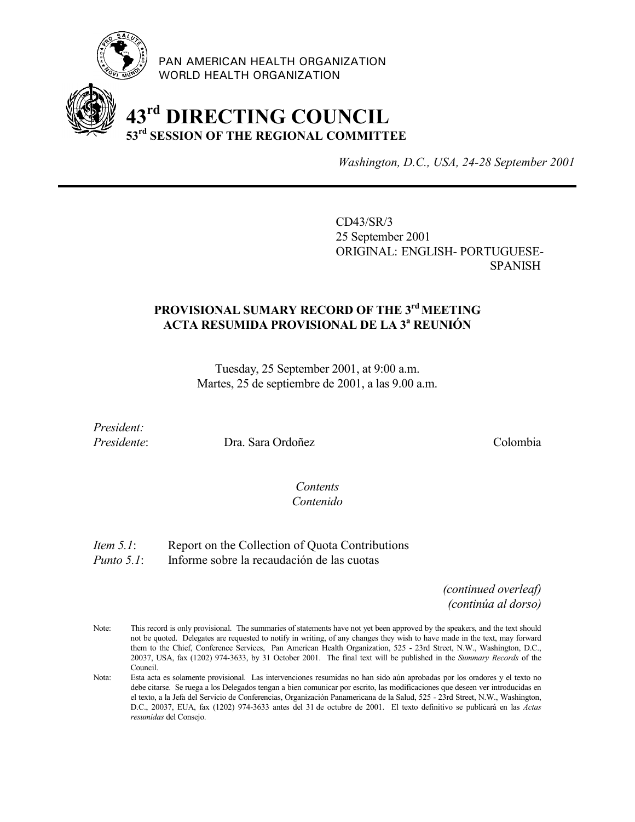

PAN AMERICAN HEALTH ORGANIZATION WORLD HEALTH ORGANIZATION

# **43rd DIRECTING COUNCIL 53rd SESSION OF THE REGIONAL COMMITTEE**

*Washington, D.C., USA, 24-28 September 2001*

CD43/SR/3 25 September 2001 ORIGINAL: ENGLISH- PORTUGUESE-SPANISH

## PROVISIONAL SUMARY RECORD OF THE 3<sup>rd</sup> MEETING **ACTA RESUMIDA PROVISIONAL DE LA 3a REUNIÓN**

Tuesday, 25 September 2001, at 9:00 a.m. Martes, 25 de septiembre de 2001, a las 9.00 a.m.

*President:*

*Presidente*: Dra. Sara Ordoñez Colombia

## *Contents Contenido*

*Item 5.1*: Report on the Collection of Quota Contributions

*Punto 5.1*: Informe sobre la recaudación de las cuotas

*(continued overleaf) (continúa al dorso)*

Note: This record is only provisional. The summaries of statements have not yet been approved by the speakers, and the text should not be quoted. Delegates are requested to notify in writing, of any changes they wish to have made in the text, may forward them to the Chief, Conference Services, Pan American Health Organization, 525 - 23rd Street, N.W., Washington, D.C., 20037, USA, fax (1202) 974-3633, by 31 October 2001. The final text will be published in the *Summary Records* of the Council.

Nota: Esta acta es solamente provisional. Las intervenciones resumidas no han sido aún aprobadas por los oradores y el texto no debe citarse. Se ruega a los Delegados tengan a bien comunicar por escrito, las modificaciones que deseen ver introducidas en el texto, a la Jefa del Servicio de Conferencias, Organización Panamericana de la Salud, 525 - 23rd Street, N.W., Washington, D.C., 20037, EUA, fax (1202) 974-3633 antes del 31 de octubre de 2001. El texto definitivo se publicará en las *Actas resumidas* del Consejo.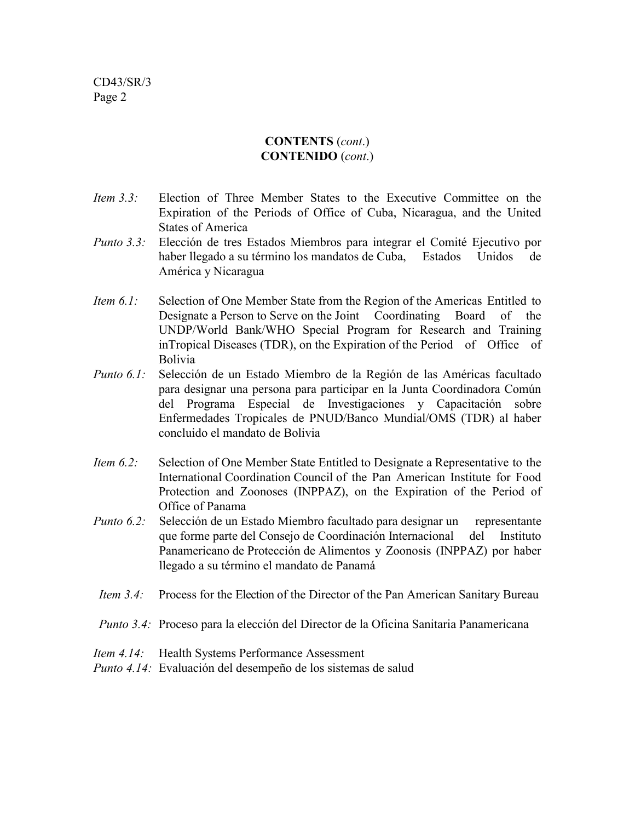## **CONTENTS** (*cont*.) **CONTENIDO** (*cont*.)

- *Item 3.3:* Election of Three Member States to the Executive Committee on the Expiration of the Periods of Office of Cuba, Nicaragua, and the United States of America
- *Punto 3.3:* Elección de tres Estados Miembros para integrar el Comité Ejecutivo por haber llegado a su término los mandatos de Cuba, Estados Unidos de América y Nicaragua
- *Item 6.1:* Selection of One Member State from the Region of the Americas Entitled to Designate a Person to Serve on the Joint Coordinating Board of the UNDP/World Bank/WHO Special Program for Research and Training inTropical Diseases (TDR), on the Expiration of the Period of Office of Bolivia
- *Punto 6.1:* Selección de un Estado Miembro de la Región de las Américas facultado para designar una persona para participar en la Junta Coordinadora Común del Programa Especial de Investigaciones y Capacitación sobre Enfermedades Tropicales de PNUD/Banco Mundial/OMS (TDR) al haber concluido el mandato de Bolivia
- *Item 6.2:* Selection of One Member State Entitled to Designate a Representative to the International Coordination Council of the Pan American Institute for Food Protection and Zoonoses (INPPAZ), on the Expiration of the Period of Office of Panama
- *Punto 6.2:* Selección de un Estado Miembro facultado para designar un representante que forme parte del Consejo de Coordinación Internacional del Instituto Panamericano de Protección de Alimentos y Zoonosis (INPPAZ) por haber llegado a su término el mandato de Panamá
- *Item 3.4:* Process for the Election of the Director of the Pan American Sanitary Bureau
- *Punto 3.4:* Proceso para la elección del Director de la Oficina Sanitaria Panamericana
- *Item 4.14:* Health Systems Performance Assessment
- *Punto 4.14:* Evaluación del desempeño de los sistemas de salud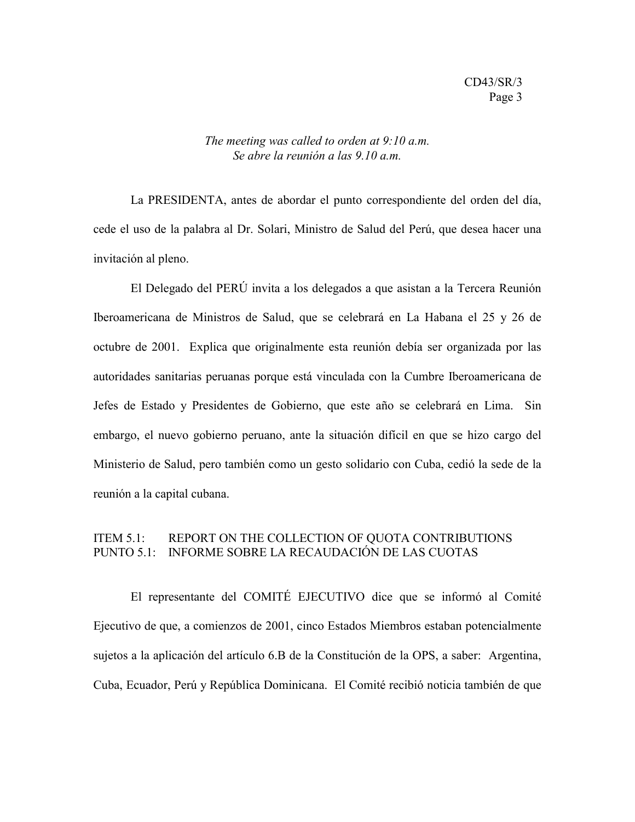#### *The meeting was called to orden at 9:10 a.m. Se abre la reunión a las 9.10 a.m.*

La PRESIDENTA, antes de abordar el punto correspondiente del orden del día, cede el uso de la palabra al Dr. Solari, Ministro de Salud del Perú, que desea hacer una invitación al pleno.

El Delegado del PERÚ invita a los delegados a que asistan a la Tercera Reunión Iberoamericana de Ministros de Salud, que se celebrará en La Habana el 25 y 26 de octubre de 2001. Explica que originalmente esta reunión debía ser organizada por las autoridades sanitarias peruanas porque está vinculada con la Cumbre Iberoamericana de Jefes de Estado y Presidentes de Gobierno, que este año se celebrará en Lima. Sin embargo, el nuevo gobierno peruano, ante la situación difícil en que se hizo cargo del Ministerio de Salud, pero también como un gesto solidario con Cuba, cedió la sede de la reunión a la capital cubana.

## ITEM 5.1: REPORT ON THE COLLECTION OF QUOTA CONTRIBUTIONS PUNTO 5.1: INFORME SOBRE LA RECAUDACIÓN DE LAS CUOTAS

El representante del COMITÉ EJECUTIVO dice que se informó al Comité Ejecutivo de que, a comienzos de 2001, cinco Estados Miembros estaban potencialmente sujetos a la aplicación del artículo 6.B de la Constitución de la OPS, a saber: Argentina, Cuba, Ecuador, Perú y República Dominicana. El Comité recibió noticia también de que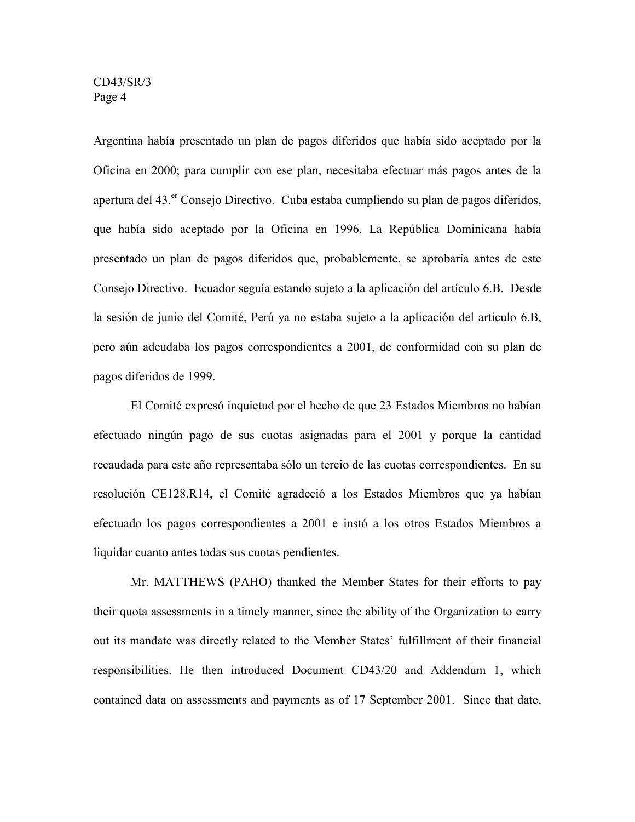Argentina había presentado un plan de pagos diferidos que había sido aceptado por la Oficina en 2000; para cumplir con ese plan, necesitaba efectuar más pagos antes de la apertura del 43.<sup>er</sup> Consejo Directivo. Cuba estaba cumpliendo su plan de pagos diferidos, que había sido aceptado por la Oficina en 1996. La República Dominicana había presentado un plan de pagos diferidos que, probablemente, se aprobaría antes de este Consejo Directivo. Ecuador seguía estando sujeto a la aplicación del artículo 6.B. Desde la sesión de junio del Comité, Perú ya no estaba sujeto a la aplicación del artículo 6.B, pero aún adeudaba los pagos correspondientes a 2001, de conformidad con su plan de pagos diferidos de 1999.

El Comité expresó inquietud por el hecho de que 23 Estados Miembros no habían efectuado ningún pago de sus cuotas asignadas para el 2001 y porque la cantidad recaudada para este año representaba sólo un tercio de las cuotas correspondientes. En su resolución CE128.R14, el Comité agradeció a los Estados Miembros que ya habían efectuado los pagos correspondientes a 2001 e instó a los otros Estados Miembros a liquidar cuanto antes todas sus cuotas pendientes.

Mr. MATTHEWS (PAHO) thanked the Member States for their efforts to pay their quota assessments in a timely manner, since the ability of the Organization to carry out its mandate was directly related to the Member States' fulfillment of their financial responsibilities. He then introduced Document CD43/20 and Addendum 1, which contained data on assessments and payments as of 17 September 2001. Since that date,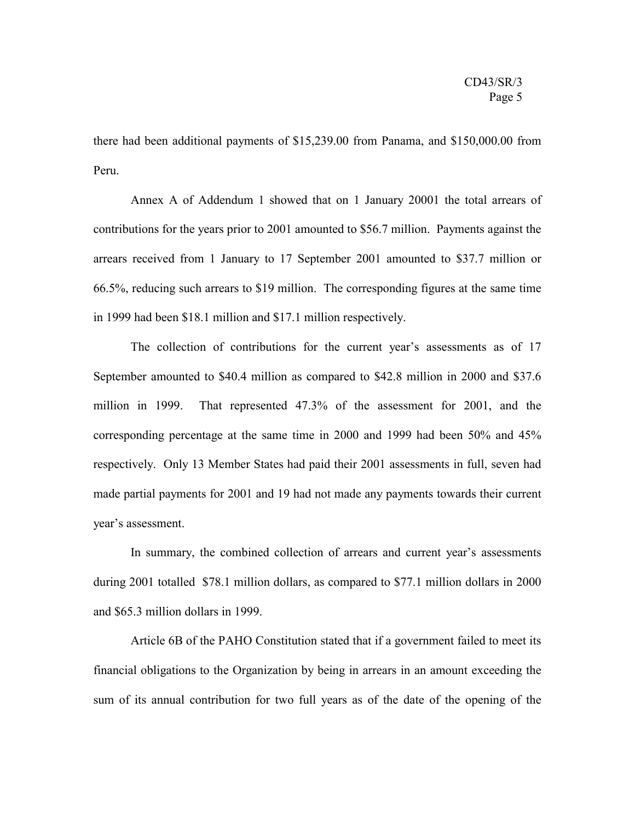there had been additional payments of \$15,239.00 from Panama, and \$150,000.00 from Peru.

Annex A of Addendum 1 showed that on 1 January 20001 the total arrears of contributions for the years prior to 2001 amounted to \$56.7 million. Payments against the arrears received from 1 January to 17 September 2001 amounted to \$37.7 million or 66.5%, reducing such arrears to \$19 million. The corresponding figures at the same time in 1999 had been \$18.1 million and \$17.1 million respectively.

The collection of contributions for the current year's assessments as of 17 September amounted to \$40.4 million as compared to \$42.8 million in 2000 and \$37.6 million in 1999. That represented 47.3% of the assessment for 2001, and the corresponding percentage at the same time in 2000 and 1999 had been 50% and 45% respectively. Only 13 Member States had paid their 2001 assessments in full, seven had made partial payments for 2001 and 19 had not made any payments towards their current year's assessment.

In summary, the combined collection of arrears and current year's assessments during 2001 totalled \$78.1 million dollars, as compared to \$77.1 million dollars in 2000 and \$65.3 million dollars in 1999.

Article 6B of the PAHO Constitution stated that if a government failed to meet its financial obligations to the Organization by being in arrears in an amount exceeding the sum of its annual contribution for two full years as of the date of the opening of the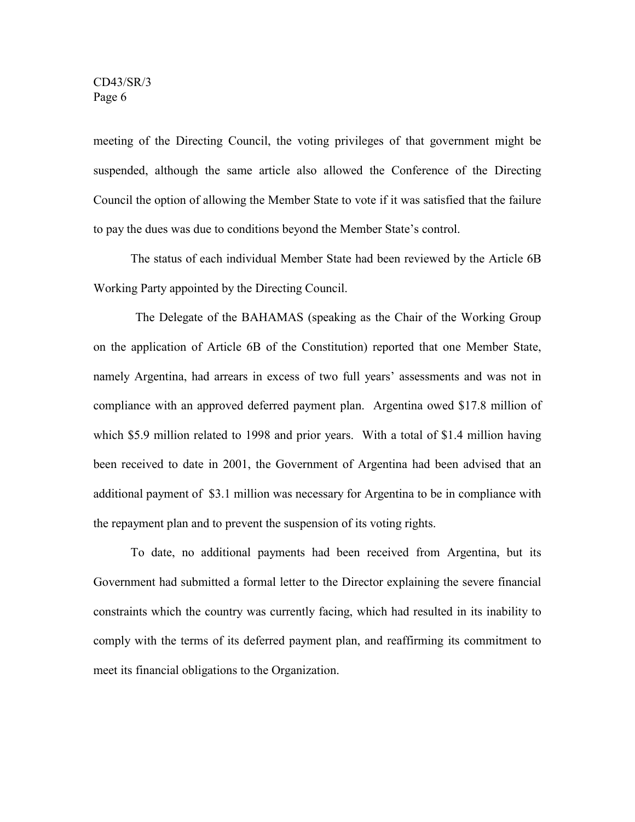meeting of the Directing Council, the voting privileges of that government might be suspended, although the same article also allowed the Conference of the Directing Council the option of allowing the Member State to vote if it was satisfied that the failure to pay the dues was due to conditions beyond the Member State's control.

The status of each individual Member State had been reviewed by the Article 6B Working Party appointed by the Directing Council.

The Delegate of the BAHAMAS (speaking as the Chair of the Working Group on the application of Article 6B of the Constitution) reported that one Member State, namely Argentina, had arrears in excess of two full years' assessments and was not in compliance with an approved deferred payment plan. Argentina owed \$17.8 million of which \$5.9 million related to 1998 and prior years. With a total of \$1.4 million having been received to date in 2001, the Government of Argentina had been advised that an additional payment of \$3.1 million was necessary for Argentina to be in compliance with the repayment plan and to prevent the suspension of its voting rights.

To date, no additional payments had been received from Argentina, but its Government had submitted a formal letter to the Director explaining the severe financial constraints which the country was currently facing, which had resulted in its inability to comply with the terms of its deferred payment plan, and reaffirming its commitment to meet its financial obligations to the Organization.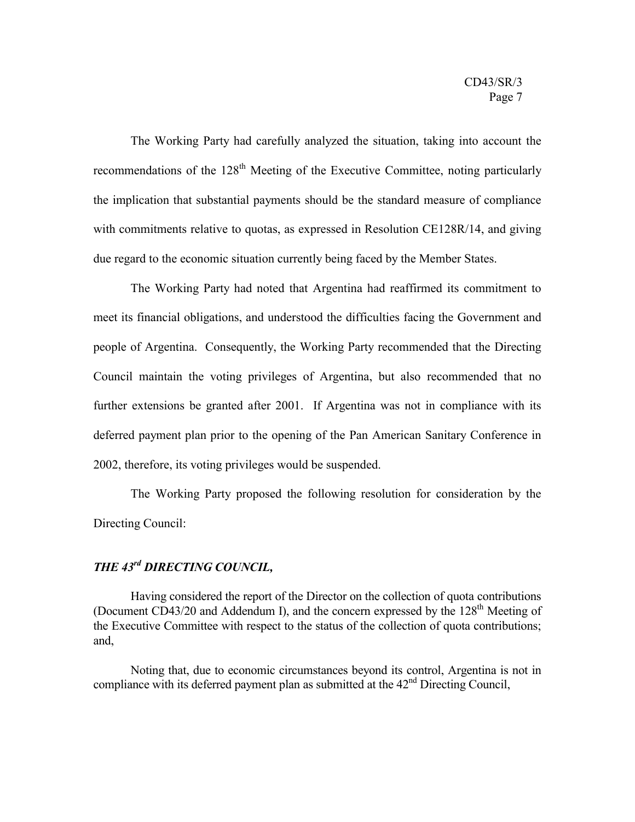The Working Party had carefully analyzed the situation, taking into account the recommendations of the 128<sup>th</sup> Meeting of the Executive Committee, noting particularly the implication that substantial payments should be the standard measure of compliance with commitments relative to quotas, as expressed in Resolution CE128R/14, and giving due regard to the economic situation currently being faced by the Member States.

The Working Party had noted that Argentina had reaffirmed its commitment to meet its financial obligations, and understood the difficulties facing the Government and people of Argentina. Consequently, the Working Party recommended that the Directing Council maintain the voting privileges of Argentina, but also recommended that no further extensions be granted after 2001. If Argentina was not in compliance with its deferred payment plan prior to the opening of the Pan American Sanitary Conference in 2002, therefore, its voting privileges would be suspended.

The Working Party proposed the following resolution for consideration by the Directing Council:

## *THE 43rd DIRECTING COUNCIL,*

Having considered the report of the Director on the collection of quota contributions (Document CD43/20 and Addendum I), and the concern expressed by the  $128<sup>th</sup>$  Meeting of the Executive Committee with respect to the status of the collection of quota contributions; and,

Noting that, due to economic circumstances beyond its control, Argentina is not in compliance with its deferred payment plan as submitted at the  $42<sup>nd</sup>$  Directing Council,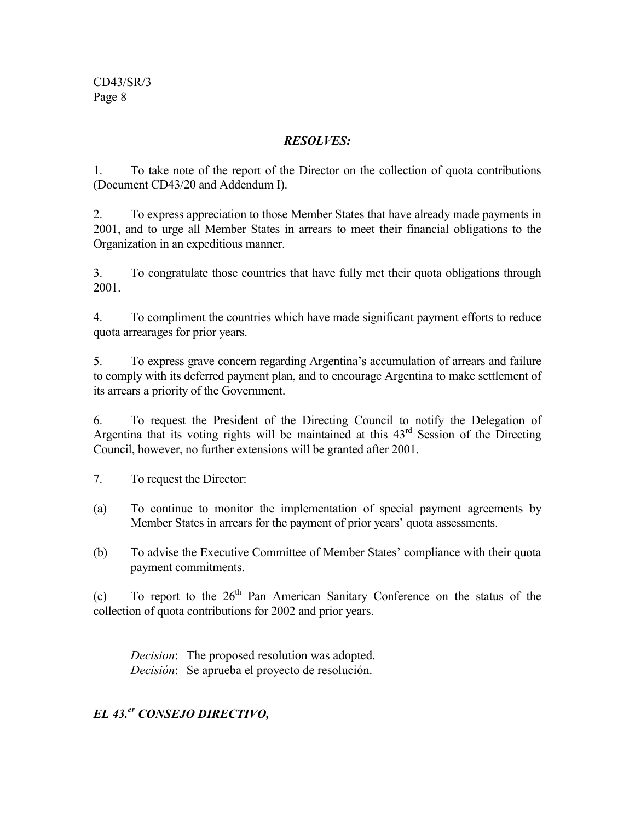## *RESOLVES:*

1. To take note of the report of the Director on the collection of quota contributions (Document CD43/20 and Addendum I).

2. To express appreciation to those Member States that have already made payments in 2001, and to urge all Member States in arrears to meet their financial obligations to the Organization in an expeditious manner.

3. To congratulate those countries that have fully met their quota obligations through 2001.

4. To compliment the countries which have made significant payment efforts to reduce quota arrearages for prior years.

5. To express grave concern regarding Argentina's accumulation of arrears and failure to comply with its deferred payment plan, and to encourage Argentina to make settlement of its arrears a priority of the Government.

6. To request the President of the Directing Council to notify the Delegation of Argentina that its voting rights will be maintained at this 43rd Session of the Directing Council, however, no further extensions will be granted after 2001.

7. To request the Director:

- (a) To continue to monitor the implementation of special payment agreements by Member States in arrears for the payment of prior years' quota assessments.
- (b) To advise the Executive Committee of Member States' compliance with their quota payment commitments.

(c) To report to the  $26<sup>th</sup>$  Pan American Sanitary Conference on the status of the collection of quota contributions for 2002 and prior years.

*Decision*: The proposed resolution was adopted. *Decisión*: Se aprueba el proyecto de resolución.

## *EL 43.er CONSEJO DIRECTIVO,*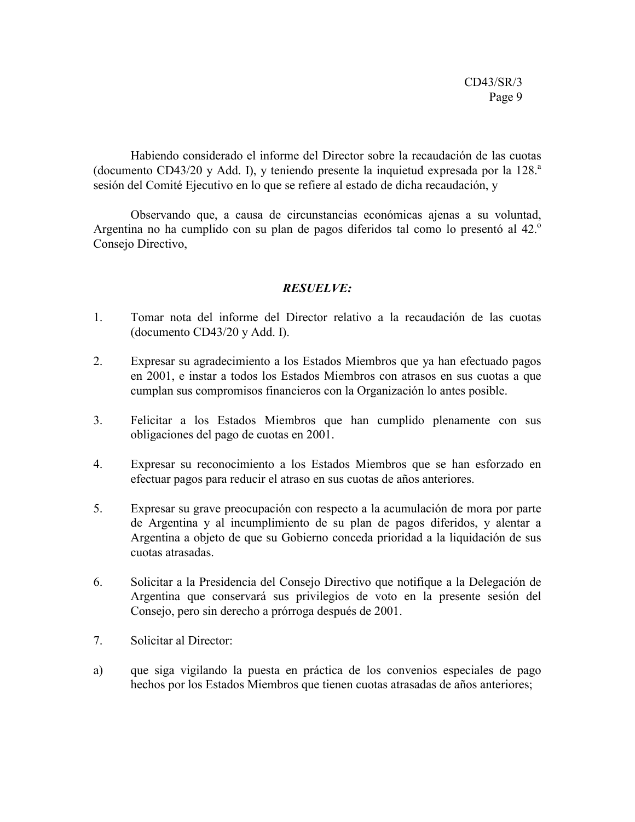Habiendo considerado el informe del Director sobre la recaudación de las cuotas (documento CD43/20 y Add. I), y teniendo presente la inquietud expresada por la  $128$ <sup>a</sup> sesión del Comité Ejecutivo en lo que se refiere al estado de dicha recaudación, y

Observando que, a causa de circunstancias económicas ajenas a su voluntad, Argentina no ha cumplido con su plan de pagos diferidos tal como lo presentó al 42.<sup>o</sup> Consejo Directivo,

## *RESUELVE:*

- 1. Tomar nota del informe del Director relativo a la recaudación de las cuotas (documento CD43/20 y Add. I).
- 2. Expresar su agradecimiento a los Estados Miembros que ya han efectuado pagos en 2001, e instar a todos los Estados Miembros con atrasos en sus cuotas a que cumplan sus compromisos financieros con la Organización lo antes posible.
- 3. Felicitar a los Estados Miembros que han cumplido plenamente con sus obligaciones del pago de cuotas en 2001.
- 4. Expresar su reconocimiento a los Estados Miembros que se han esforzado en efectuar pagos para reducir el atraso en sus cuotas de años anteriores.
- 5. Expresar su grave preocupación con respecto a la acumulación de mora por parte de Argentina y al incumplimiento de su plan de pagos diferidos, y alentar a Argentina a objeto de que su Gobierno conceda prioridad a la liquidación de sus cuotas atrasadas.
- 6. Solicitar a la Presidencia del Consejo Directivo que notifique a la Delegación de Argentina que conservará sus privilegios de voto en la presente sesión del Consejo, pero sin derecho a prórroga después de 2001.
- 7. Solicitar al Director:
- a) que siga vigilando la puesta en práctica de los convenios especiales de pago hechos por los Estados Miembros que tienen cuotas atrasadas de años anteriores;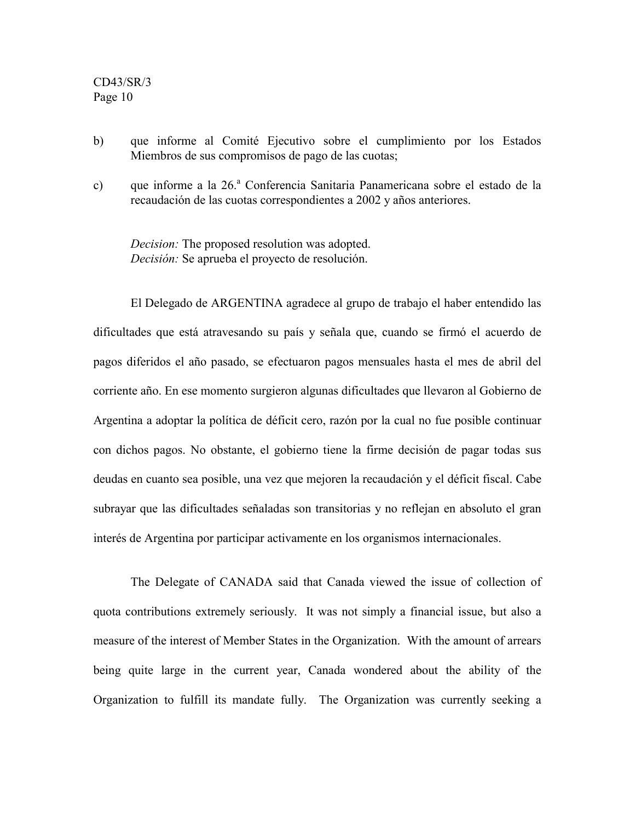- b) que informe al Comité Ejecutivo sobre el cumplimiento por los Estados Miembros de sus compromisos de pago de las cuotas;
- c) que informe a la 26.ª Conferencia Sanitaria Panamericana sobre el estado de la recaudación de las cuotas correspondientes a 2002 y años anteriores.

*Decision:* The proposed resolution was adopted. *Decisión:* Se aprueba el proyecto de resolución.

El Delegado de ARGENTINA agradece al grupo de trabajo el haber entendido las dificultades que está atravesando su país y señala que, cuando se firmó el acuerdo de pagos diferidos el año pasado, se efectuaron pagos mensuales hasta el mes de abril del corriente año. En ese momento surgieron algunas dificultades que llevaron al Gobierno de Argentina a adoptar la política de déficit cero, razón por la cual no fue posible continuar con dichos pagos. No obstante, el gobierno tiene la firme decisión de pagar todas sus deudas en cuanto sea posible, una vez que mejoren la recaudación y el déficit fiscal. Cabe subrayar que las dificultades señaladas son transitorias y no reflejan en absoluto el gran interés de Argentina por participar activamente en los organismos internacionales.

The Delegate of CANADA said that Canada viewed the issue of collection of quota contributions extremely seriously. It was not simply a financial issue, but also a measure of the interest of Member States in the Organization. With the amount of arrears being quite large in the current year, Canada wondered about the ability of the Organization to fulfill its mandate fully. The Organization was currently seeking a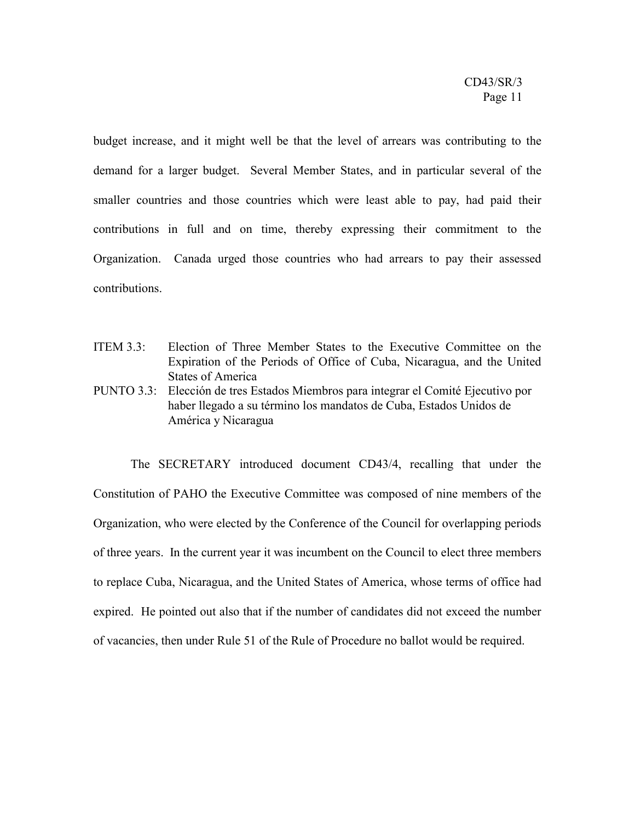budget increase, and it might well be that the level of arrears was contributing to the demand for a larger budget. Several Member States, and in particular several of the smaller countries and those countries which were least able to pay, had paid their contributions in full and on time, thereby expressing their commitment to the Organization. Canada urged those countries who had arrears to pay their assessed contributions.

ITEM 3.3: Election of Three Member States to the Executive Committee on the Expiration of the Periods of Office of Cuba, Nicaragua, and the United States of America PUNTO 3.3: Elección de tres Estados Miembros para integrar el Comité Ejecutivo por haber llegado a su término los mandatos de Cuba, Estados Unidos de América y Nicaragua

The SECRETARY introduced document CD43/4, recalling that under the Constitution of PAHO the Executive Committee was composed of nine members of the Organization, who were elected by the Conference of the Council for overlapping periods of three years. In the current year it was incumbent on the Council to elect three members to replace Cuba, Nicaragua, and the United States of America, whose terms of office had expired. He pointed out also that if the number of candidates did not exceed the number of vacancies, then under Rule 51 of the Rule of Procedure no ballot would be required.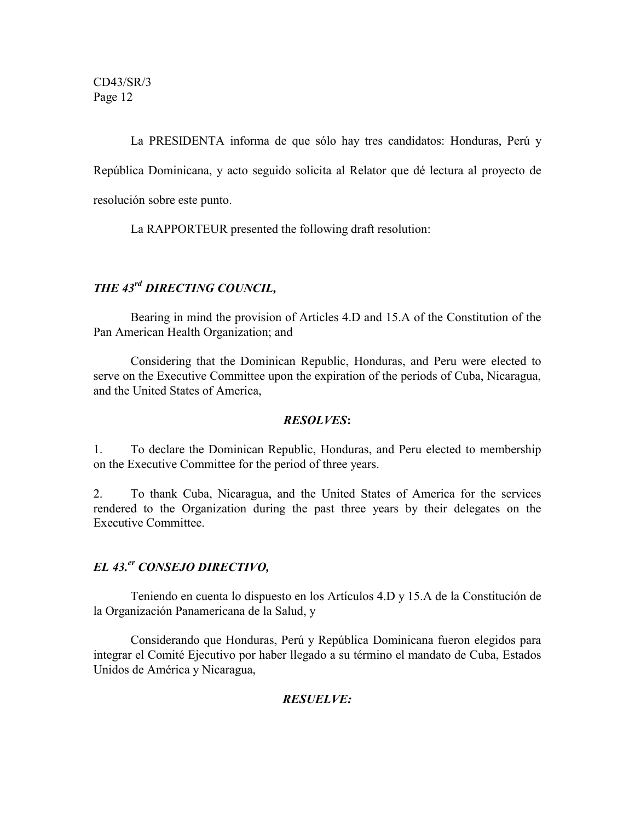La PRESIDENTA informa de que sólo hay tres candidatos: Honduras, Perú y República Dominicana, y acto seguido solicita al Relator que dé lectura al proyecto de resolución sobre este punto.

La RAPPORTEUR presented the following draft resolution:

## *THE 43rd DIRECTING COUNCIL,*

Bearing in mind the provision of Articles 4.D and 15.A of the Constitution of the Pan American Health Organization; and

Considering that the Dominican Republic, Honduras, and Peru were elected to serve on the Executive Committee upon the expiration of the periods of Cuba, Nicaragua, and the United States of America,

## *RESOLVES***:**

1. To declare the Dominican Republic, Honduras, and Peru elected to membership on the Executive Committee for the period of three years.

2. To thank Cuba, Nicaragua, and the United States of America for the services rendered to the Organization during the past three years by their delegates on the Executive Committee.

## *EL 43.er CONSEJO DIRECTIVO,*

Teniendo en cuenta lo dispuesto en los Artículos 4.D y 15.A de la Constitución de la Organización Panamericana de la Salud, y

Considerando que Honduras, Perú y República Dominicana fueron elegidos para integrar el Comité Ejecutivo por haber llegado a su término el mandato de Cuba, Estados Unidos de América y Nicaragua,

## *RESUELVE:*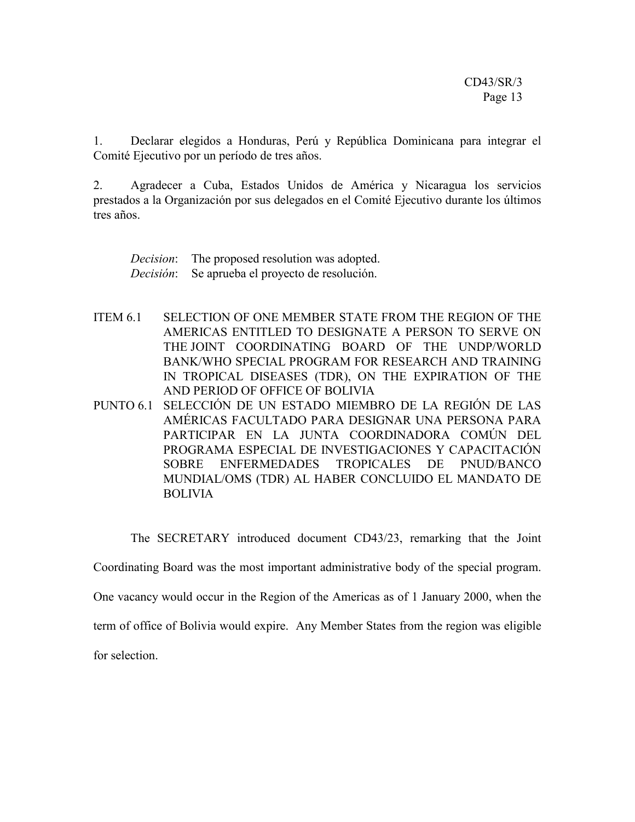1. Declarar elegidos a Honduras, Perú y República Dominicana para integrar el Comité Ejecutivo por un período de tres años.

2. Agradecer a Cuba, Estados Unidos de América y Nicaragua los servicios prestados a la Organización por sus delegados en el Comité Ejecutivo durante los últimos tres años.

*Decision*: The proposed resolution was adopted. *Decisión*: Se aprueba el proyecto de resolución.

- ITEM 6.1 SELECTION OF ONE MEMBER STATE FROM THE REGION OF THE AMERICAS ENTITLED TO DESIGNATE A PERSON TO SERVE ON THE JOINT COORDINATING BOARD OF THE UNDP/WORLD BANK/WHO SPECIAL PROGRAM FOR RESEARCH AND TRAINING IN TROPICAL DISEASES (TDR), ON THE EXPIRATION OF THE AND PERIOD OF OFFICE OF BOLIVIA
- PUNTO 6.1 SELECCIÓN DE UN ESTADO MIEMBRO DE LA REGIÓN DE LAS AMÉRICAS FACULTADO PARA DESIGNAR UNA PERSONA PARA PARTICIPAR EN LA JUNTA COORDINADORA COMÚN DEL PROGRAMA ESPECIAL DE INVESTIGACIONES Y CAPACITACIÓN SOBRE ENFERMEDADES TROPICALES DE PNUD/BANCO MUNDIAL/OMS (TDR) AL HABER CONCLUIDO EL MANDATO DE BOLIVIA

The SECRETARY introduced document CD43/23, remarking that the Joint

Coordinating Board was the most important administrative body of the special program.

One vacancy would occur in the Region of the Americas as of 1 January 2000, when the

term of office of Bolivia would expire. Any Member States from the region was eligible

for selection.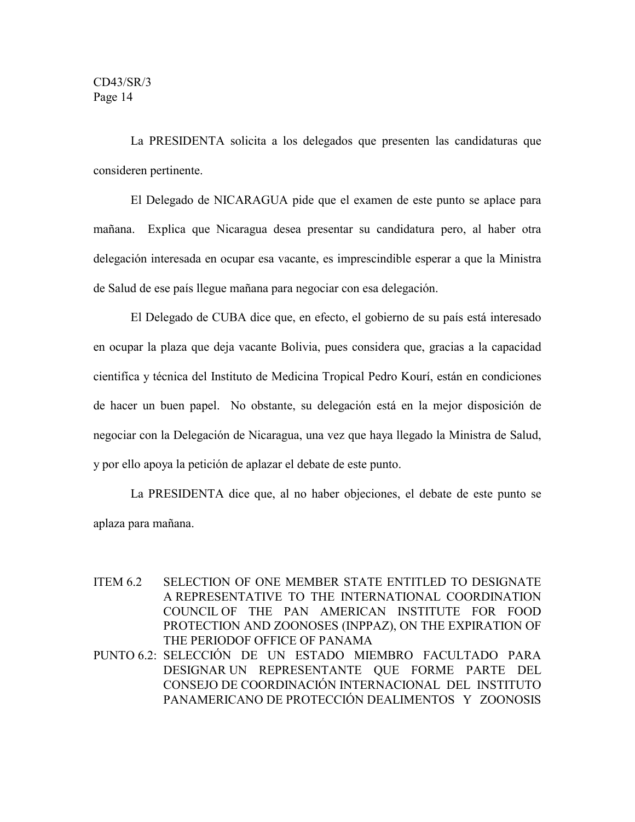La PRESIDENTA solicita a los delegados que presenten las candidaturas que consideren pertinente.

El Delegado de NICARAGUA pide que el examen de este punto se aplace para mañana. Explica que Nicaragua desea presentar su candidatura pero, al haber otra delegación interesada en ocupar esa vacante, es imprescindible esperar a que la Ministra de Salud de ese país llegue mañana para negociar con esa delegación.

El Delegado de CUBA dice que, en efecto, el gobierno de su país está interesado en ocupar la plaza que deja vacante Bolivia, pues considera que, gracias a la capacidad cientifíca y técnica del Instituto de Medicina Tropical Pedro Kourí, están en condiciones de hacer un buen papel. No obstante, su delegación está en la mejor disposición de negociar con la Delegación de Nicaragua, una vez que haya llegado la Ministra de Salud, y por ello apoya la petición de aplazar el debate de este punto.

La PRESIDENTA dice que, al no haber objeciones, el debate de este punto se aplaza para mañana.

- ITEM 6.2 SELECTION OF ONE MEMBER STATE ENTITLED TO DESIGNATE A REPRESENTATIVE TO THE INTERNATIONAL COORDINATION COUNCIL OF THE PAN AMERICAN INSTITUTE FOR FOOD PROTECTION AND ZOONOSES (INPPAZ), ON THE EXPIRATION OF THE PERIODOF OFFICE OF PANAMA
- PUNTO 6.2: SELECCIÓN DE UN ESTADO MIEMBRO FACULTADO PARA DESIGNAR UN REPRESENTANTE QUE FORME PARTE DEL CONSEJO DE COORDINACIÓN INTERNACIONAL DEL INSTITUTO PANAMERICANO DE PROTECCIÓN DEALIMENTOS Y ZOONOSIS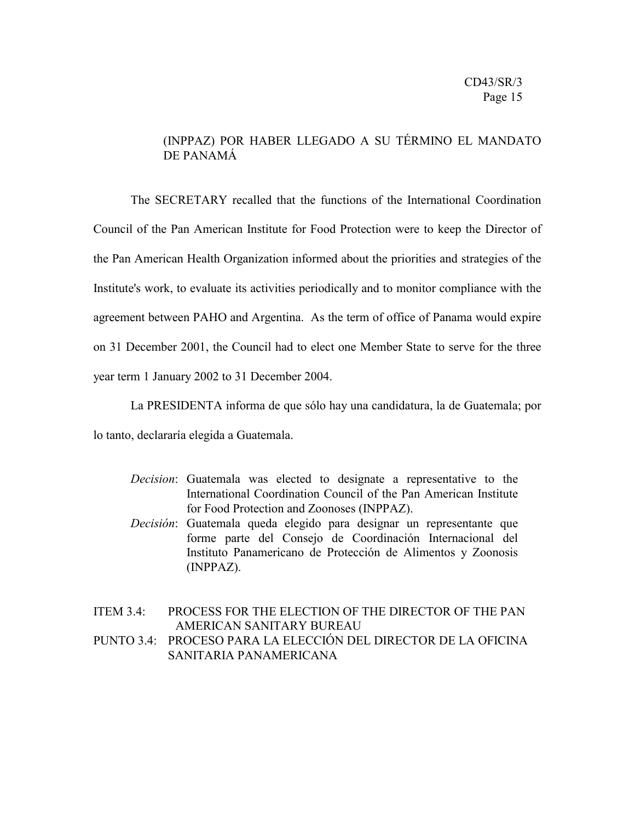## (INPPAZ) POR HABER LLEGADO A SU TÉRMINO EL MANDATO DE PANAMÁ

The SECRETARY recalled that the functions of the International Coordination Council of the Pan American Institute for Food Protection were to keep the Director of the Pan American Health Organization informed about the priorities and strategies of the Institute's work, to evaluate its activities periodically and to monitor compliance with the agreement between PAHO and Argentina. As the term of office of Panama would expire on 31 December 2001, the Council had to elect one Member State to serve for the three year term 1 January 2002 to 31 December 2004.

La PRESIDENTA informa de que sólo hay una candidatura, la de Guatemala; por

lo tanto, declararía elegida a Guatemala.

- *Decision*: Guatemala was elected to designate a representative to the International Coordination Council of the Pan American Institute for Food Protection and Zoonoses (INPPAZ).
- *Decisión*: Guatemala queda elegido para designar un representante que forme parte del Consejo de Coordinación Internacional del Instituto Panamericano de Protección de Alimentos y Zoonosis (INPPAZ).

## ITEM 3.4: PROCESS FOR THE ELECTION OF THE DIRECTOR OF THE PAN AMERICAN SANITARY BUREAU

PUNTO 3.4: PROCESO PARA LA ELECCIÓN DEL DIRECTOR DE LA OFICINA SANITARIA PANAMERICANA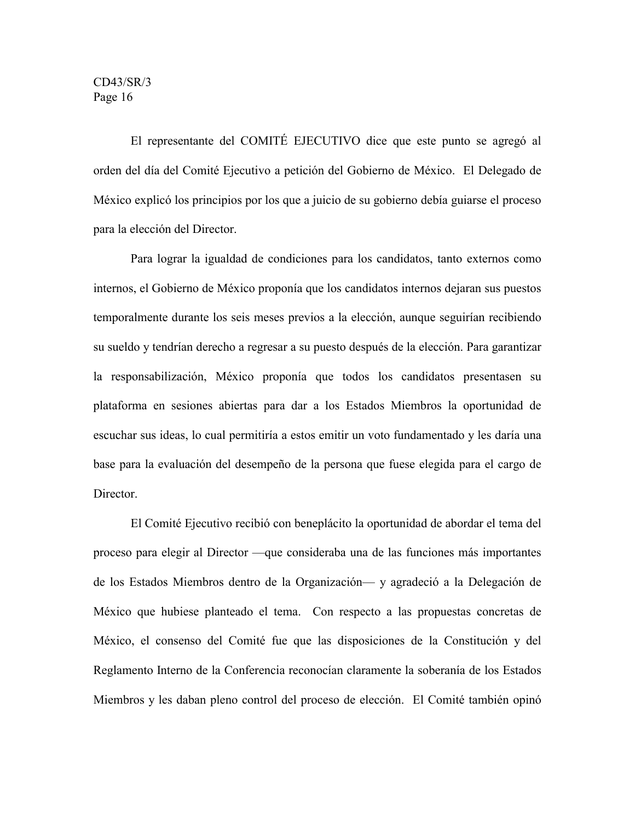El representante del COMITÉ EJECUTIVO dice que este punto se agregó al orden del día del Comité Ejecutivo a petición del Gobierno de México. El Delegado de México explicó los principios por los que a juicio de su gobierno debía guiarse el proceso para la elección del Director.

Para lograr la igualdad de condiciones para los candidatos, tanto externos como internos, el Gobierno de México proponía que los candidatos internos dejaran sus puestos temporalmente durante los seis meses previos a la elección, aunque seguirían recibiendo su sueldo y tendrían derecho a regresar a su puesto después de la elección. Para garantizar la responsabilización, México proponía que todos los candidatos presentasen su plataforma en sesiones abiertas para dar a los Estados Miembros la oportunidad de escuchar sus ideas, lo cual permitiría a estos emitir un voto fundamentado y les daría una base para la evaluación del desempeño de la persona que fuese elegida para el cargo de Director.

El Comité Ejecutivo recibió con beneplácito la oportunidad de abordar el tema del proceso para elegir al Director —que consideraba una de las funciones más importantes de los Estados Miembros dentro de la Organización— y agradeció a la Delegación de México que hubiese planteado el tema. Con respecto a las propuestas concretas de México, el consenso del Comité fue que las disposiciones de la Constitución y del Reglamento Interno de la Conferencia reconocían claramente la soberanía de los Estados Miembros y les daban pleno control del proceso de elección. El Comité también opinó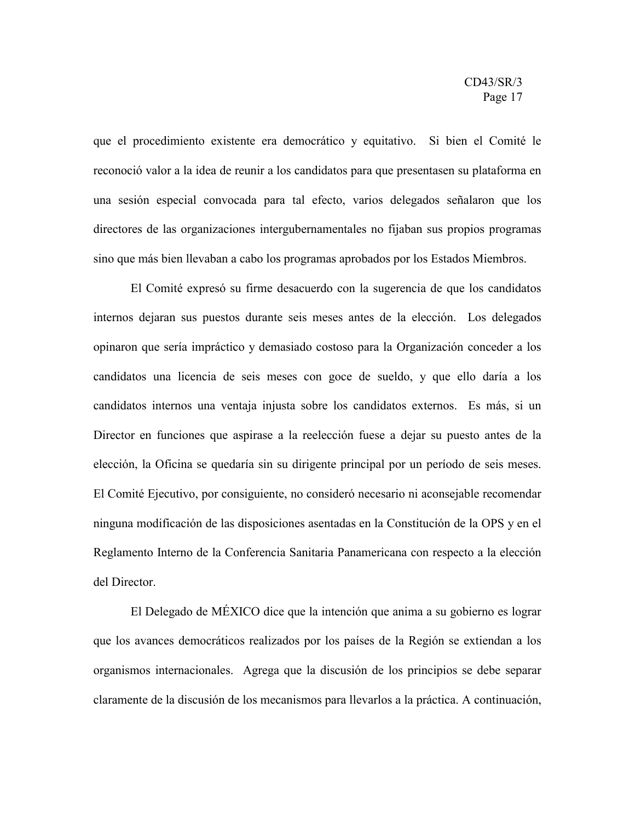que el procedimiento existente era democrático y equitativo. Si bien el Comité le reconoció valor a la idea de reunir a los candidatos para que presentasen su plataforma en una sesión especial convocada para tal efecto, varios delegados señalaron que los directores de las organizaciones intergubernamentales no fijaban sus propios programas sino que más bien llevaban a cabo los programas aprobados por los Estados Miembros.

El Comité expresó su firme desacuerdo con la sugerencia de que los candidatos internos dejaran sus puestos durante seis meses antes de la elección. Los delegados opinaron que sería impráctico y demasiado costoso para la Organización conceder a los candidatos una licencia de seis meses con goce de sueldo, y que ello daría a los candidatos internos una ventaja injusta sobre los candidatos externos. Es más, si un Director en funciones que aspirase a la reelección fuese a dejar su puesto antes de la elección, la Oficina se quedaría sin su dirigente principal por un período de seis meses. El Comité Ejecutivo, por consiguiente, no consideró necesario ni aconsejable recomendar ninguna modificación de las disposiciones asentadas en la Constitución de la OPS y en el Reglamento Interno de la Conferencia Sanitaria Panamericana con respecto a la elección del Director.

El Delegado de MÉXICO dice que la intención que anima a su gobierno es lograr que los avances democráticos realizados por los países de la Región se extiendan a los organismos internacionales. Agrega que la discusión de los principios se debe separar claramente de la discusión de los mecanismos para llevarlos a la práctica. A continuación,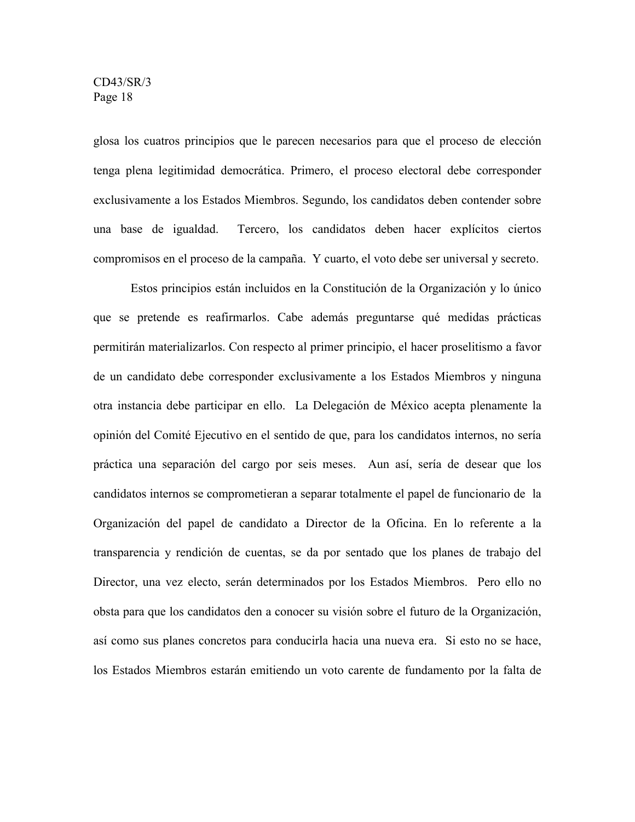glosa los cuatros principios que le parecen necesarios para que el proceso de elección tenga plena legitimidad democrática. Primero, el proceso electoral debe corresponder exclusivamente a los Estados Miembros. Segundo, los candidatos deben contender sobre una base de igualdad. Tercero, los candidatos deben hacer explícitos ciertos compromisos en el proceso de la campaña. Y cuarto, el voto debe ser universal y secreto.

Estos principios están incluidos en la Constitución de la Organización y lo único que se pretende es reafirmarlos. Cabe además preguntarse qué medidas prácticas permitirán materializarlos. Con respecto al primer principio, el hacer proselitismo a favor de un candidato debe corresponder exclusivamente a los Estados Miembros y ninguna otra instancia debe participar en ello. La Delegación de México acepta plenamente la opinión del Comité Ejecutivo en el sentido de que, para los candidatos internos, no sería práctica una separación del cargo por seis meses. Aun así, sería de desear que los candidatos internos se comprometieran a separar totalmente el papel de funcionario de la Organización del papel de candidato a Director de la Oficina. En lo referente a la transparencia y rendición de cuentas, se da por sentado que los planes de trabajo del Director, una vez electo, serán determinados por los Estados Miembros. Pero ello no obsta para que los candidatos den a conocer su visión sobre el futuro de la Organización, así como sus planes concretos para conducirla hacia una nueva era. Si esto no se hace, los Estados Miembros estarán emitiendo un voto carente de fundamento por la falta de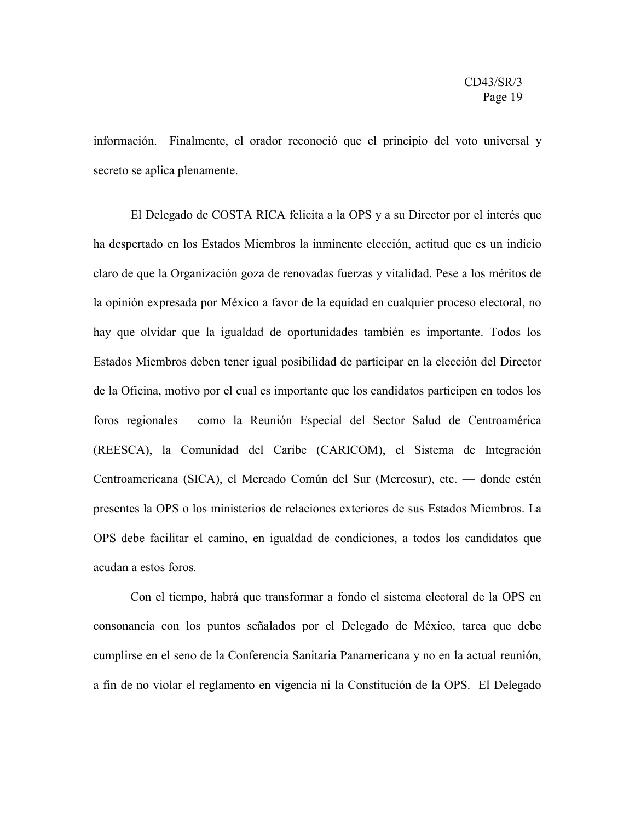información. Finalmente, el orador reconoció que el principio del voto universal y secreto se aplica plenamente.

El Delegado de COSTA RICA felicita a la OPS y a su Director por el interés que ha despertado en los Estados Miembros la inminente elección, actitud que es un indicio claro de que la Organización goza de renovadas fuerzas y vitalidad. Pese a los méritos de la opinión expresada por México a favor de la equidad en cualquier proceso electoral, no hay que olvidar que la igualdad de oportunidades también es importante. Todos los Estados Miembros deben tener igual posibilidad de participar en la elección del Director de la Oficina, motivo por el cual es importante que los candidatos participen en todos los foros regionales —como la Reunión Especial del Sector Salud de Centroamérica (REESCA), la Comunidad del Caribe (CARICOM), el Sistema de Integración Centroamericana (SICA), el Mercado Común del Sur (Mercosur), etc. — donde estén presentes la OPS o los ministerios de relaciones exteriores de sus Estados Miembros. La OPS debe facilitar el camino, en igualdad de condiciones, a todos los candidatos que acudan a estos foros.

Con el tiempo, habrá que transformar a fondo el sistema electoral de la OPS en consonancia con los puntos señalados por el Delegado de México, tarea que debe cumplirse en el seno de la Conferencia Sanitaria Panamericana y no en la actual reunión, a fin de no violar el reglamento en vigencia ni la Constitución de la OPS. El Delegado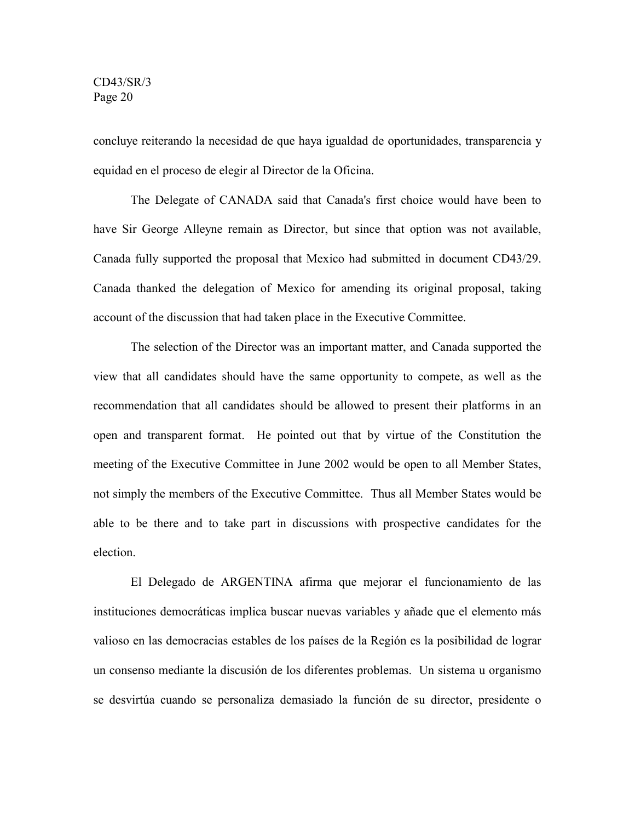concluye reiterando la necesidad de que haya igualdad de oportunidades, transparencia y equidad en el proceso de elegir al Director de la Oficina.

The Delegate of CANADA said that Canada's first choice would have been to have Sir George Alleyne remain as Director, but since that option was not available, Canada fully supported the proposal that Mexico had submitted in document CD43/29. Canada thanked the delegation of Mexico for amending its original proposal, taking account of the discussion that had taken place in the Executive Committee.

The selection of the Director was an important matter, and Canada supported the view that all candidates should have the same opportunity to compete, as well as the recommendation that all candidates should be allowed to present their platforms in an open and transparent format. He pointed out that by virtue of the Constitution the meeting of the Executive Committee in June 2002 would be open to all Member States, not simply the members of the Executive Committee. Thus all Member States would be able to be there and to take part in discussions with prospective candidates for the election.

El Delegado de ARGENTINA afirma que mejorar el funcionamiento de las instituciones democráticas implica buscar nuevas variables y añade que el elemento más valioso en las democracias estables de los países de la Región es la posibilidad de lograr un consenso mediante la discusión de los diferentes problemas. Un sistema u organismo se desvirtúa cuando se personaliza demasiado la función de su director, presidente o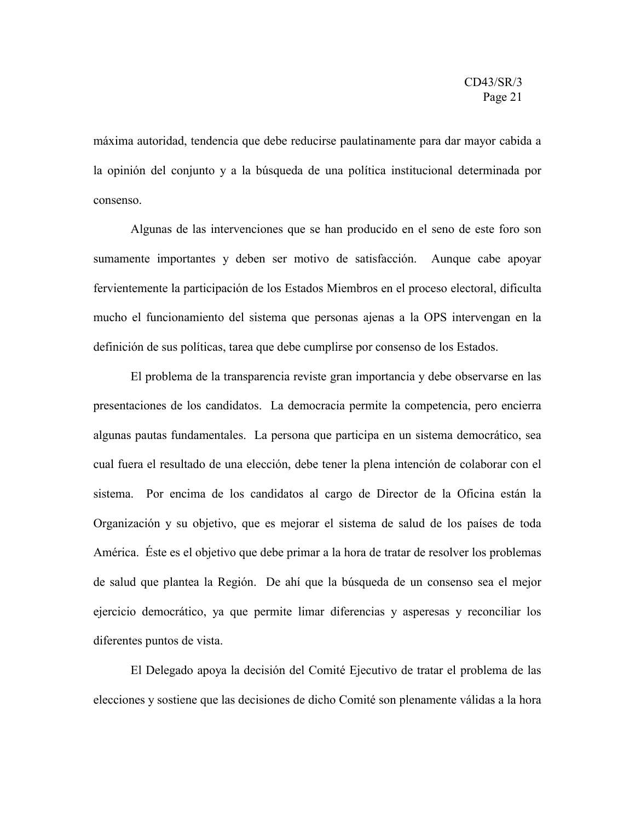máxima autoridad, tendencia que debe reducirse paulatinamente para dar mayor cabida a la opinión del conjunto y a la búsqueda de una política institucional determinada por consenso.

Algunas de las intervenciones que se han producido en el seno de este foro son sumamente importantes y deben ser motivo de satisfacción. Aunque cabe apoyar fervientemente la participación de los Estados Miembros en el proceso electoral, dificulta mucho el funcionamiento del sistema que personas ajenas a la OPS intervengan en la definición de sus políticas, tarea que debe cumplirse por consenso de los Estados.

El problema de la transparencia reviste gran importancia y debe observarse en las presentaciones de los candidatos. La democracia permite la competencia, pero encierra algunas pautas fundamentales. La persona que participa en un sistema democrático, sea cual fuera el resultado de una elección, debe tener la plena intención de colaborar con el sistema. Por encima de los candidatos al cargo de Director de la Oficina están la Organización y su objetivo, que es mejorar el sistema de salud de los países de toda América. Éste es el objetivo que debe primar a la hora de tratar de resolver los problemas de salud que plantea la Región. De ahí que la búsqueda de un consenso sea el mejor ejercicio democrático, ya que permite limar diferencias y asperesas y reconciliar los diferentes puntos de vista.

El Delegado apoya la decisión del Comité Ejecutivo de tratar el problema de las elecciones y sostiene que las decisiones de dicho Comité son plenamente válidas a la hora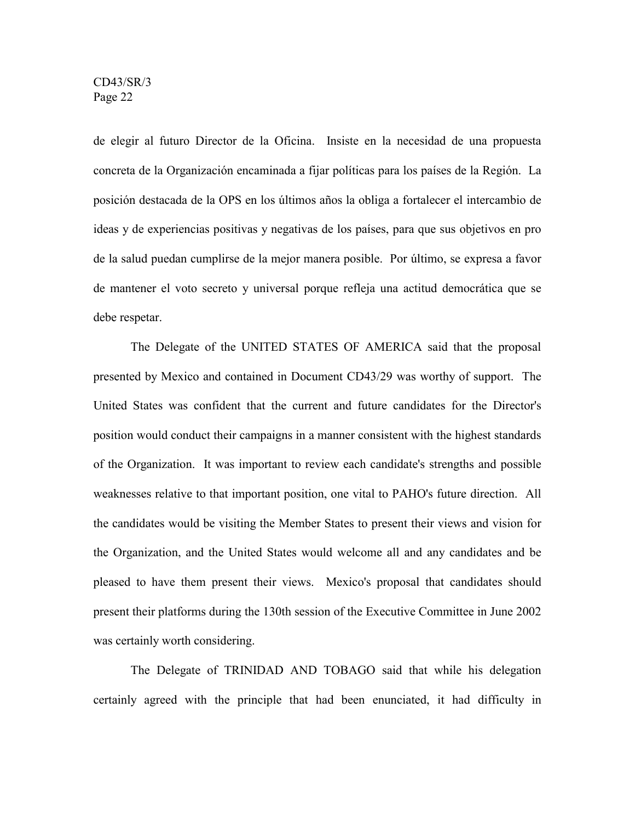de elegir al futuro Director de la Oficina. Insiste en la necesidad de una propuesta concreta de la Organización encaminada a fijar políticas para los países de la Región. La posición destacada de la OPS en los últimos años la obliga a fortalecer el intercambio de ideas y de experiencias positivas y negativas de los países, para que sus objetivos en pro de la salud puedan cumplirse de la mejor manera posible. Por último, se expresa a favor de mantener el voto secreto y universal porque refleja una actitud democrática que se debe respetar.

The Delegate of the UNITED STATES OF AMERICA said that the proposal presented by Mexico and contained in Document CD43/29 was worthy of support. The United States was confident that the current and future candidates for the Director's position would conduct their campaigns in a manner consistent with the highest standards of the Organization. It was important to review each candidate's strengths and possible weaknesses relative to that important position, one vital to PAHO's future direction. All the candidates would be visiting the Member States to present their views and vision for the Organization, and the United States would welcome all and any candidates and be pleased to have them present their views. Mexico's proposal that candidates should present their platforms during the 130th session of the Executive Committee in June 2002 was certainly worth considering.

The Delegate of TRINIDAD AND TOBAGO said that while his delegation certainly agreed with the principle that had been enunciated, it had difficulty in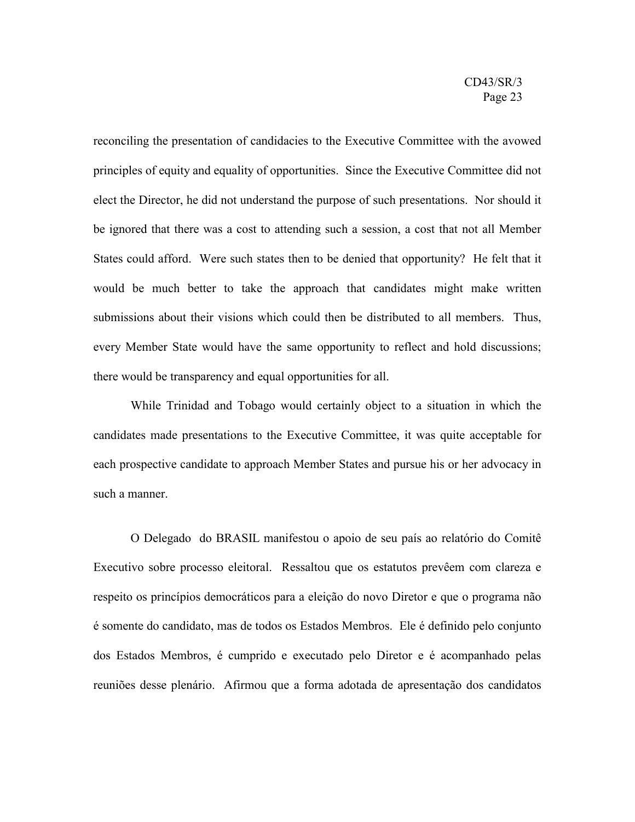reconciling the presentation of candidacies to the Executive Committee with the avowed principles of equity and equality of opportunities. Since the Executive Committee did not elect the Director, he did not understand the purpose of such presentations. Nor should it be ignored that there was a cost to attending such a session, a cost that not all Member States could afford. Were such states then to be denied that opportunity? He felt that it would be much better to take the approach that candidates might make written submissions about their visions which could then be distributed to all members. Thus, every Member State would have the same opportunity to reflect and hold discussions; there would be transparency and equal opportunities for all.

While Trinidad and Tobago would certainly object to a situation in which the candidates made presentations to the Executive Committee, it was quite acceptable for each prospective candidate to approach Member States and pursue his or her advocacy in such a manner.

O Delegado do BRASIL manifestou o apoio de seu país ao relatório do Comitê Executivo sobre processo eleitoral. Ressaltou que os estatutos prevêem com clareza e respeito os princípios democráticos para a eleição do novo Diretor e que o programa não é somente do candidato, mas de todos os Estados Membros. Ele é definido pelo conjunto dos Estados Membros, é cumprido e executado pelo Diretor e é acompanhado pelas reuniões desse plenário. Afirmou que a forma adotada de apresentação dos candidatos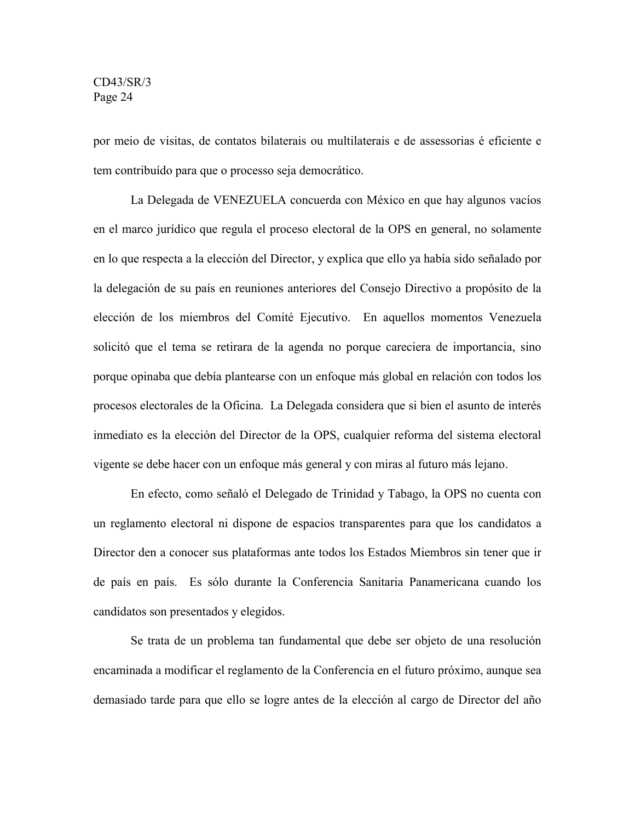por meio de visitas, de contatos bilaterais ou multilaterais e de assessorias é eficiente e tem contribuído para que o processo seja democrático.

La Delegada de VENEZUELA concuerda con México en que hay algunos vacíos en el marco jurídico que regula el proceso electoral de la OPS en general, no solamente en lo que respecta a la elección del Director, y explica que ello ya había sido señalado por la delegación de su país en reuniones anteriores del Consejo Directivo a propósito de la elección de los miembros del Comité Ejecutivo. En aquellos momentos Venezuela solicitó que el tema se retirara de la agenda no porque careciera de importancia, sino porque opinaba que debía plantearse con un enfoque más global en relación con todos los procesos electorales de la Oficina. La Delegada considera que si bien el asunto de interés inmediato es la elección del Director de la OPS, cualquier reforma del sistema electoral vigente se debe hacer con un enfoque más general y con miras al futuro más lejano.

En efecto, como señaló el Delegado de Trinidad y Tabago, la OPS no cuenta con un reglamento electoral ni dispone de espacios transparentes para que los candidatos a Director den a conocer sus plataformas ante todos los Estados Miembros sin tener que ir de país en país. Es sólo durante la Conferencia Sanitaria Panamericana cuando los candidatos son presentados y elegidos.

Se trata de un problema tan fundamental que debe ser objeto de una resolución encaminada a modificar el reglamento de la Conferencia en el futuro próximo, aunque sea demasiado tarde para que ello se logre antes de la elección al cargo de Director del año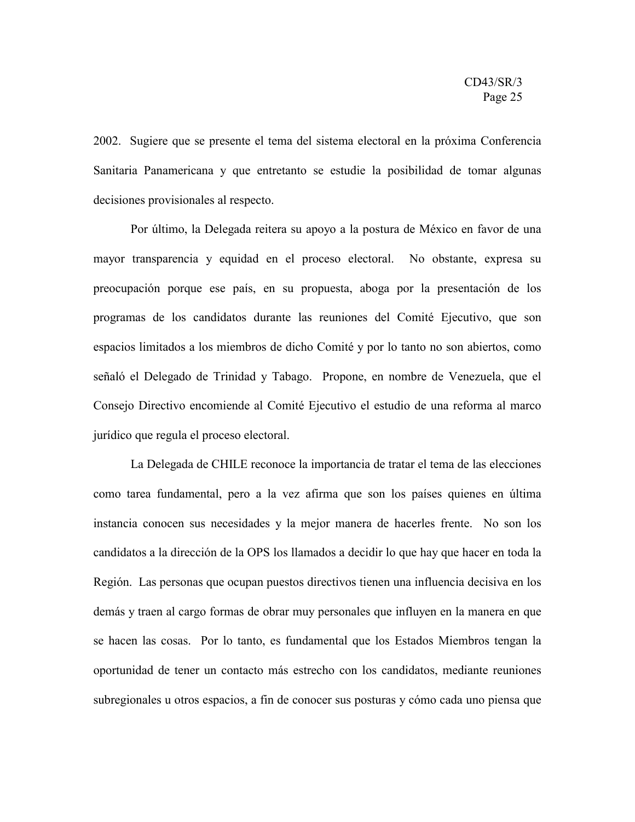2002. Sugiere que se presente el tema del sistema electoral en la próxima Conferencia Sanitaria Panamericana y que entretanto se estudie la posibilidad de tomar algunas decisiones provisionales al respecto.

Por último, la Delegada reitera su apoyo a la postura de México en favor de una mayor transparencia y equidad en el proceso electoral. No obstante, expresa su preocupación porque ese país, en su propuesta, aboga por la presentación de los programas de los candidatos durante las reuniones del Comité Ejecutivo, que son espacios limitados a los miembros de dicho Comité y por lo tanto no son abiertos, como señaló el Delegado de Trinidad y Tabago. Propone, en nombre de Venezuela, que el Consejo Directivo encomiende al Comité Ejecutivo el estudio de una reforma al marco jurídico que regula el proceso electoral.

La Delegada de CHILE reconoce la importancia de tratar el tema de las elecciones como tarea fundamental, pero a la vez afirma que son los países quienes en última instancia conocen sus necesidades y la mejor manera de hacerles frente. No son los candidatos a la dirección de la OPS los llamados a decidir lo que hay que hacer en toda la Región. Las personas que ocupan puestos directivos tienen una influencia decisiva en los demás y traen al cargo formas de obrar muy personales que influyen en la manera en que se hacen las cosas. Por lo tanto, es fundamental que los Estados Miembros tengan la oportunidad de tener un contacto más estrecho con los candidatos, mediante reuniones subregionales u otros espacios, a fin de conocer sus posturas y cómo cada uno piensa que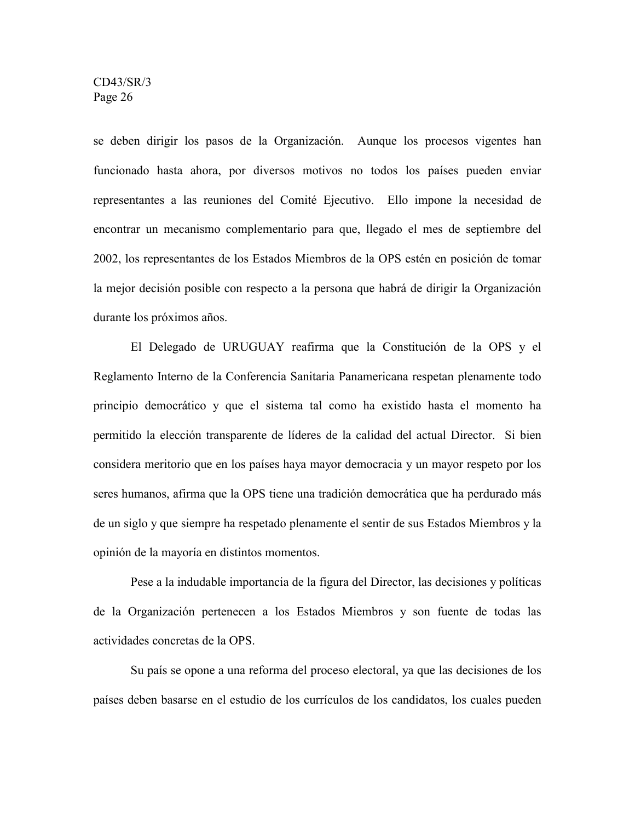se deben dirigir los pasos de la Organización. Aunque los procesos vigentes han funcionado hasta ahora, por diversos motivos no todos los países pueden enviar representantes a las reuniones del Comité Ejecutivo. Ello impone la necesidad de encontrar un mecanismo complementario para que, llegado el mes de septiembre del 2002, los representantes de los Estados Miembros de la OPS estén en posición de tomar la mejor decisión posible con respecto a la persona que habrá de dirigir la Organización durante los próximos años.

El Delegado de URUGUAY reafirma que la Constitución de la OPS y el Reglamento Interno de la Conferencia Sanitaria Panamericana respetan plenamente todo principio democrático y que el sistema tal como ha existido hasta el momento ha permitido la elección transparente de líderes de la calidad del actual Director. Si bien considera meritorio que en los países haya mayor democracia y un mayor respeto por los seres humanos, afirma que la OPS tiene una tradición democrática que ha perdurado más de un siglo y que siempre ha respetado plenamente el sentir de sus Estados Miembros y la opinión de la mayoría en distintos momentos.

Pese a la indudable importancia de la figura del Director, las decisiones y políticas de la Organización pertenecen a los Estados Miembros y son fuente de todas las actividades concretas de la OPS.

Su país se opone a una reforma del proceso electoral, ya que las decisiones de los países deben basarse en el estudio de los currículos de los candidatos, los cuales pueden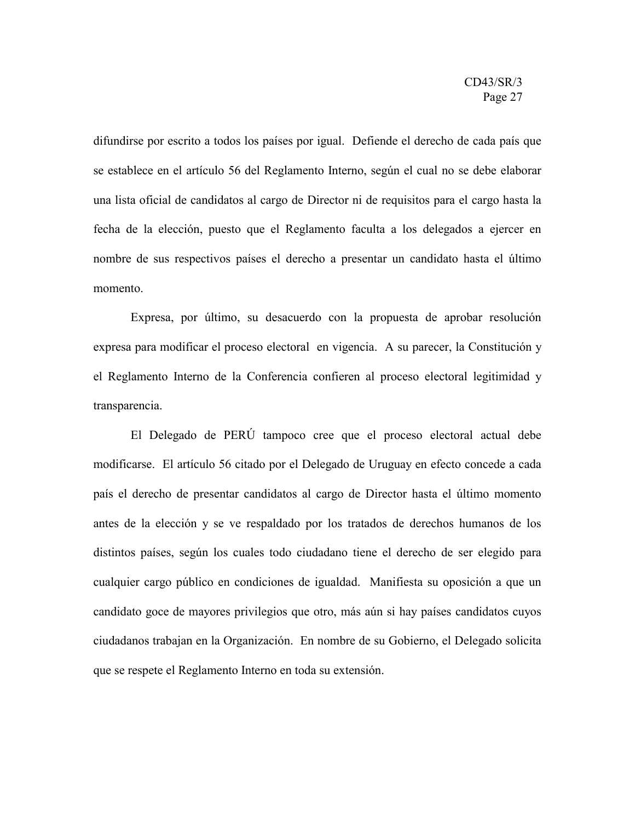difundirse por escrito a todos los países por igual. Defiende el derecho de cada país que se establece en el artículo 56 del Reglamento Interno, según el cual no se debe elaborar una lista oficial de candidatos al cargo de Director ni de requisitos para el cargo hasta la fecha de la elección, puesto que el Reglamento faculta a los delegados a ejercer en nombre de sus respectivos países el derecho a presentar un candidato hasta el último momento.

Expresa, por último, su desacuerdo con la propuesta de aprobar resolución expresa para modificar el proceso electoral en vigencia. A su parecer, la Constitución y el Reglamento Interno de la Conferencia confieren al proceso electoral legitimidad y transparencia.

El Delegado de PERÚ tampoco cree que el proceso electoral actual debe modificarse. El artículo 56 citado por el Delegado de Uruguay en efecto concede a cada país el derecho de presentar candidatos al cargo de Director hasta el último momento antes de la elección y se ve respaldado por los tratados de derechos humanos de los distintos países, según los cuales todo ciudadano tiene el derecho de ser elegido para cualquier cargo público en condiciones de igualdad. Manifiesta su oposición a que un candidato goce de mayores privilegios que otro, más aún si hay países candidatos cuyos ciudadanos trabajan en la Organización. En nombre de su Gobierno, el Delegado solicita que se respete el Reglamento Interno en toda su extensión.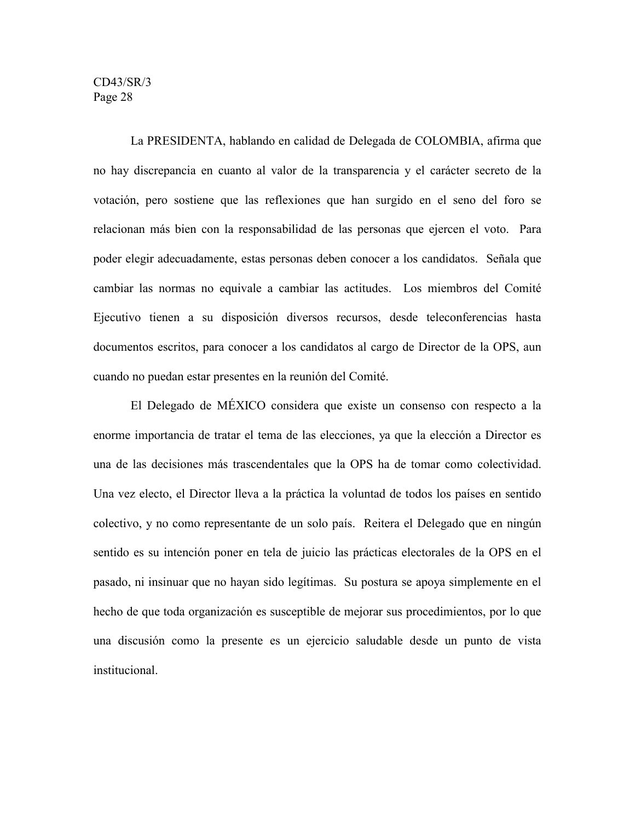La PRESIDENTA, hablando en calidad de Delegada de COLOMBIA, afirma que no hay discrepancia en cuanto al valor de la transparencia y el carácter secreto de la votación, pero sostiene que las reflexiones que han surgido en el seno del foro se relacionan más bien con la responsabilidad de las personas que ejercen el voto. Para poder elegir adecuadamente, estas personas deben conocer a los candidatos. Señala que cambiar las normas no equivale a cambiar las actitudes. Los miembros del Comité Ejecutivo tienen a su disposición diversos recursos, desde teleconferencias hasta documentos escritos, para conocer a los candidatos al cargo de Director de la OPS, aun cuando no puedan estar presentes en la reunión del Comité.

El Delegado de MÉXICO considera que existe un consenso con respecto a la enorme importancia de tratar el tema de las elecciones, ya que la elección a Director es una de las decisiones más trascendentales que la OPS ha de tomar como colectividad. Una vez electo, el Director lleva a la práctica la voluntad de todos los países en sentido colectivo, y no como representante de un solo país. Reitera el Delegado que en ningún sentido es su intención poner en tela de juicio las prácticas electorales de la OPS en el pasado, ni insinuar que no hayan sido legítimas. Su postura se apoya simplemente en el hecho de que toda organización es susceptible de mejorar sus procedimientos, por lo que una discusión como la presente es un ejercicio saludable desde un punto de vista institucional.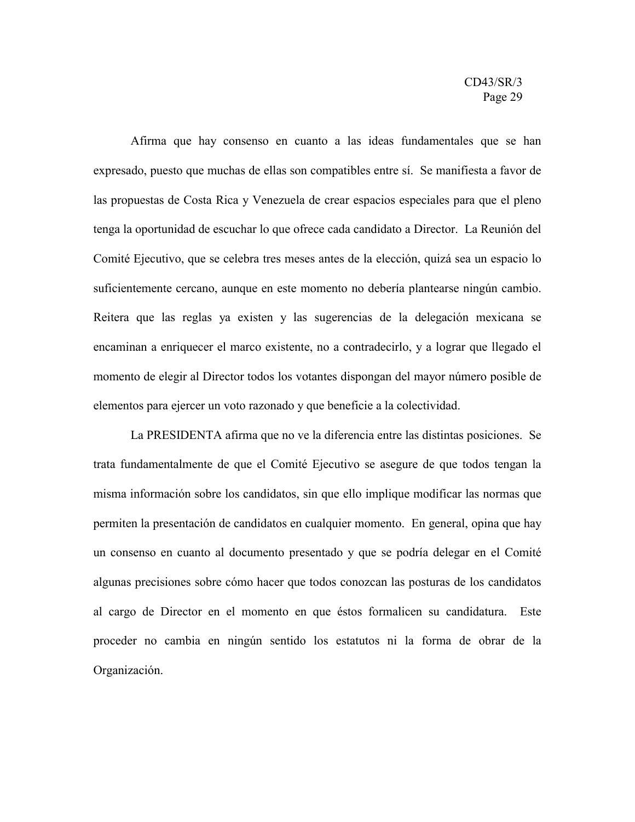Afirma que hay consenso en cuanto a las ideas fundamentales que se han expresado, puesto que muchas de ellas son compatibles entre sí. Se manifiesta a favor de las propuestas de Costa Rica y Venezuela de crear espacios especiales para que el pleno tenga la oportunidad de escuchar lo que ofrece cada candidato a Director. La Reunión del Comité Ejecutivo, que se celebra tres meses antes de la elección, quizá sea un espacio lo suficientemente cercano, aunque en este momento no debería plantearse ningún cambio. Reitera que las reglas ya existen y las sugerencias de la delegación mexicana se encaminan a enriquecer el marco existente, no a contradecirlo, y a lograr que llegado el momento de elegir al Director todos los votantes dispongan del mayor número posible de elementos para ejercer un voto razonado y que beneficie a la colectividad.

La PRESIDENTA afirma que no ve la diferencia entre las distintas posiciones. Se trata fundamentalmente de que el Comité Ejecutivo se asegure de que todos tengan la misma información sobre los candidatos, sin que ello implique modificar las normas que permiten la presentación de candidatos en cualquier momento. En general, opina que hay un consenso en cuanto al documento presentado y que se podría delegar en el Comité algunas precisiones sobre cómo hacer que todos conozcan las posturas de los candidatos al cargo de Director en el momento en que éstos formalicen su candidatura. Este proceder no cambia en ningún sentido los estatutos ni la forma de obrar de la Organización.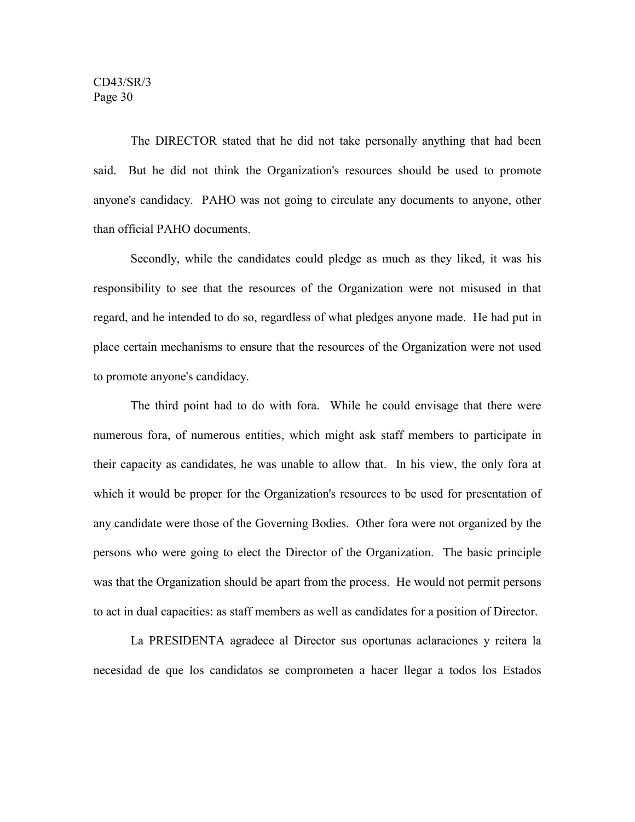The DIRECTOR stated that he did not take personally anything that had been said. But he did not think the Organization's resources should be used to promote anyone's candidacy. PAHO was not going to circulate any documents to anyone, other than official PAHO documents.

Secondly, while the candidates could pledge as much as they liked, it was his responsibility to see that the resources of the Organization were not misused in that regard, and he intended to do so, regardless of what pledges anyone made. He had put in place certain mechanisms to ensure that the resources of the Organization were not used to promote anyone's candidacy.

The third point had to do with fora. While he could envisage that there were numerous fora, of numerous entities, which might ask staff members to participate in their capacity as candidates, he was unable to allow that. In his view, the only fora at which it would be proper for the Organization's resources to be used for presentation of any candidate were those of the Governing Bodies. Other fora were not organized by the persons who were going to elect the Director of the Organization. The basic principle was that the Organization should be apart from the process. He would not permit persons to act in dual capacities: as staff members as well as candidates for a position of Director.

La PRESIDENTA agradece al Director sus oportunas aclaraciones y reitera la necesidad de que los candidatos se comprometen a hacer llegar a todos los Estados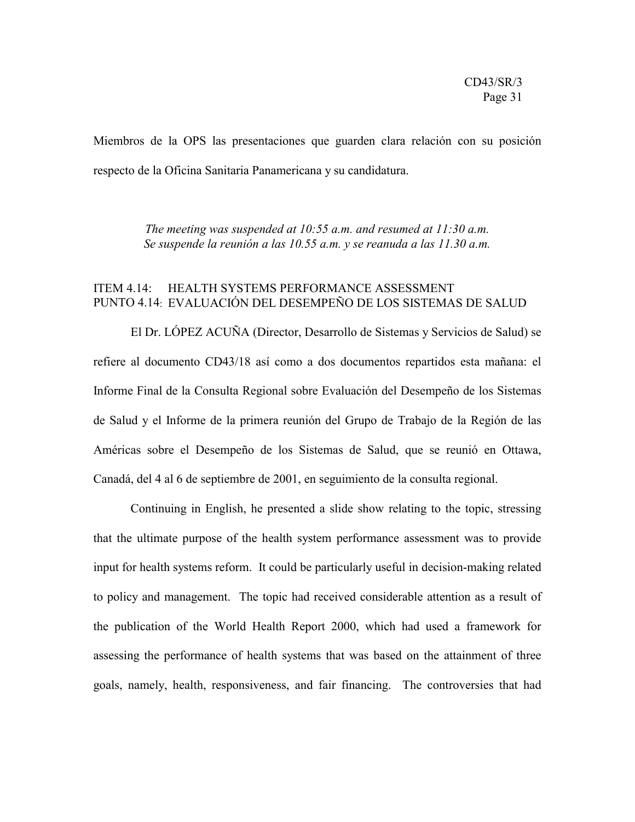Miembros de la OPS las presentaciones que guarden clara relación con su posición respecto de la Oficina Sanitaria Panamericana y su candidatura.

> *The meeting was suspended at 10:55 a.m. and resumed at 11:30 a.m. Se suspende la reunión a las 10.55 a.m. y se reanuda a las 11.30 a.m.*

## ITEM 4.14: HEALTH SYSTEMS PERFORMANCE ASSESSMENT PUNTO 4.14: EVALUACIÓN DEL DESEMPEÑO DE LOS SISTEMAS DE SALUD

El Dr. LÓPEZ ACUÑA (Director, Desarrollo de Sistemas y Servicios de Salud) se refiere al documento CD43/18 así como a dos documentos repartidos esta mañana: el Informe Final de la Consulta Regional sobre Evaluación del Desempeño de los Sistemas de Salud y el Informe de la primera reunión del Grupo de Trabajo de la Región de las Américas sobre el Desempeño de los Sistemas de Salud, que se reunió en Ottawa, Canadá, del 4 al 6 de septiembre de 2001, en seguimiento de la consulta regional.

Continuing in English, he presented a slide show relating to the topic, stressing that the ultimate purpose of the health system performance assessment was to provide input for health systems reform. It could be particularly useful in decision-making related to policy and management. The topic had received considerable attention as a result of the publication of the World Health Report 2000, which had used a framework for assessing the performance of health systems that was based on the attainment of three goals, namely, health, responsiveness, and fair financing. The controversies that had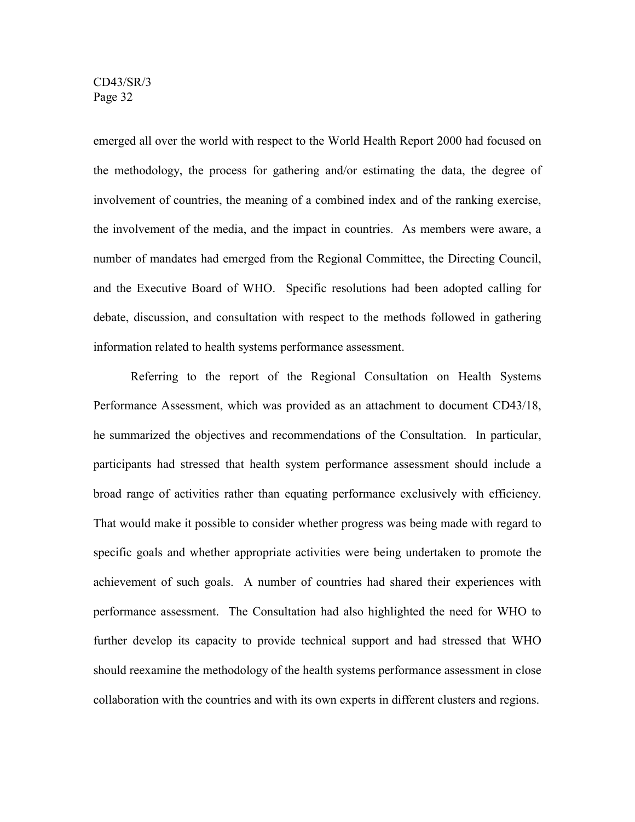emerged all over the world with respect to the World Health Report 2000 had focused on the methodology, the process for gathering and/or estimating the data, the degree of involvement of countries, the meaning of a combined index and of the ranking exercise, the involvement of the media, and the impact in countries. As members were aware, a number of mandates had emerged from the Regional Committee, the Directing Council, and the Executive Board of WHO. Specific resolutions had been adopted calling for debate, discussion, and consultation with respect to the methods followed in gathering information related to health systems performance assessment.

Referring to the report of the Regional Consultation on Health Systems Performance Assessment, which was provided as an attachment to document CD43/18, he summarized the objectives and recommendations of the Consultation. In particular, participants had stressed that health system performance assessment should include a broad range of activities rather than equating performance exclusively with efficiency. That would make it possible to consider whether progress was being made with regard to specific goals and whether appropriate activities were being undertaken to promote the achievement of such goals. A number of countries had shared their experiences with performance assessment. The Consultation had also highlighted the need for WHO to further develop its capacity to provide technical support and had stressed that WHO should reexamine the methodology of the health systems performance assessment in close collaboration with the countries and with its own experts in different clusters and regions.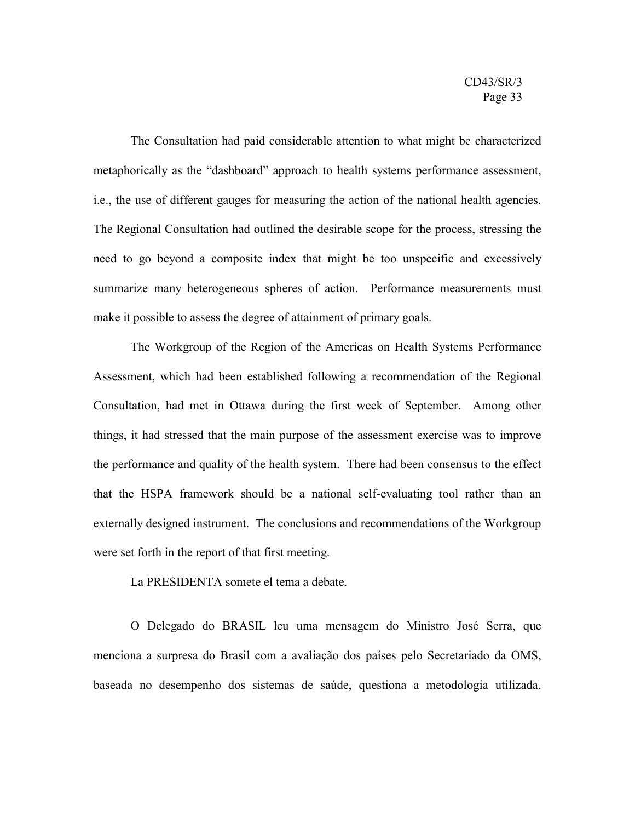The Consultation had paid considerable attention to what might be characterized metaphorically as the "dashboard" approach to health systems performance assessment, i.e., the use of different gauges for measuring the action of the national health agencies. The Regional Consultation had outlined the desirable scope for the process, stressing the need to go beyond a composite index that might be too unspecific and excessively summarize many heterogeneous spheres of action. Performance measurements must make it possible to assess the degree of attainment of primary goals.

The Workgroup of the Region of the Americas on Health Systems Performance Assessment, which had been established following a recommendation of the Regional Consultation, had met in Ottawa during the first week of September. Among other things, it had stressed that the main purpose of the assessment exercise was to improve the performance and quality of the health system. There had been consensus to the effect that the HSPA framework should be a national self-evaluating tool rather than an externally designed instrument. The conclusions and recommendations of the Workgroup were set forth in the report of that first meeting.

La PRESIDENTA somete el tema a debate.

O Delegado do BRASIL leu uma mensagem do Ministro José Serra, que menciona a surpresa do Brasil com a avaliação dos países pelo Secretariado da OMS, baseada no desempenho dos sistemas de saúde, questiona a metodologia utilizada.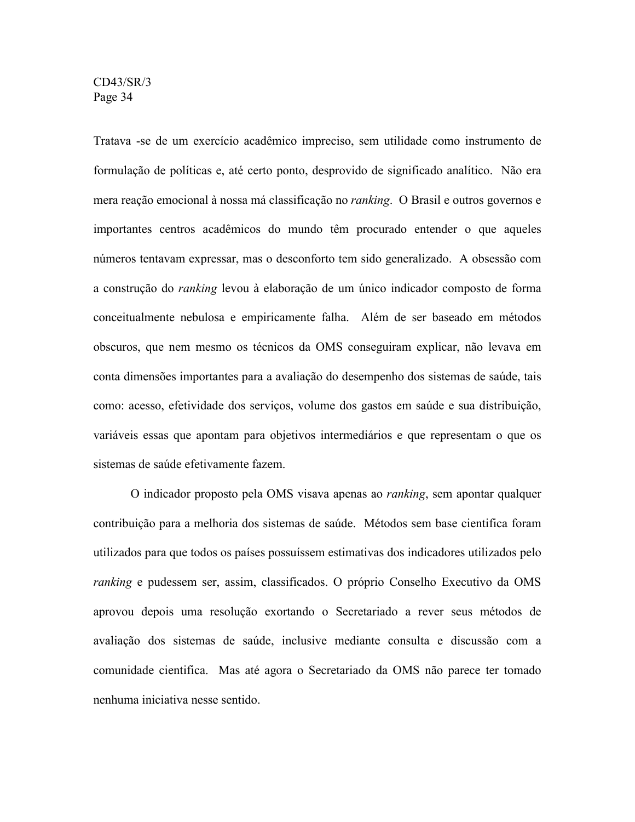Tratava -se de um exercício acadêmico impreciso, sem utilidade como instrumento de formulação de políticas e, até certo ponto, desprovido de significado analítico. Não era mera reação emocional à nossa má classificação no *ranking*. O Brasil e outros governos e importantes centros acadêmicos do mundo têm procurado entender o que aqueles números tentavam expressar, mas o desconforto tem sido generalizado. A obsessão com a construção do *ranking* levou à elaboração de um único indicador composto de forma conceitualmente nebulosa e empiricamente falha. Além de ser baseado em métodos obscuros, que nem mesmo os técnicos da OMS conseguiram explicar, não levava em conta dimensões importantes para a avaliação do desempenho dos sistemas de saúde, tais como: acesso, efetividade dos serviços, volume dos gastos em saúde e sua distribuição, variáveis essas que apontam para objetivos intermediários e que representam o que os sistemas de saúde efetivamente fazem

O indicador proposto pela OMS visava apenas ao *ranking*, sem apontar qualquer contribuição para a melhoria dos sistemas de saúde. Métodos sem base cientifica foram utilizados para que todos os países possuíssem estimativas dos indicadores utilizados pelo *ranking* e pudessem ser, assim, classificados. O próprio Conselho Executivo da OMS aprovou depois uma resolução exortando o Secretariado a rever seus métodos de avaliação dos sistemas de saúde, inclusive mediante consulta e discussão com a comunidade cientifica. Mas até agora o Secretariado da OMS não parece ter tomado nenhuma iniciativa nesse sentido.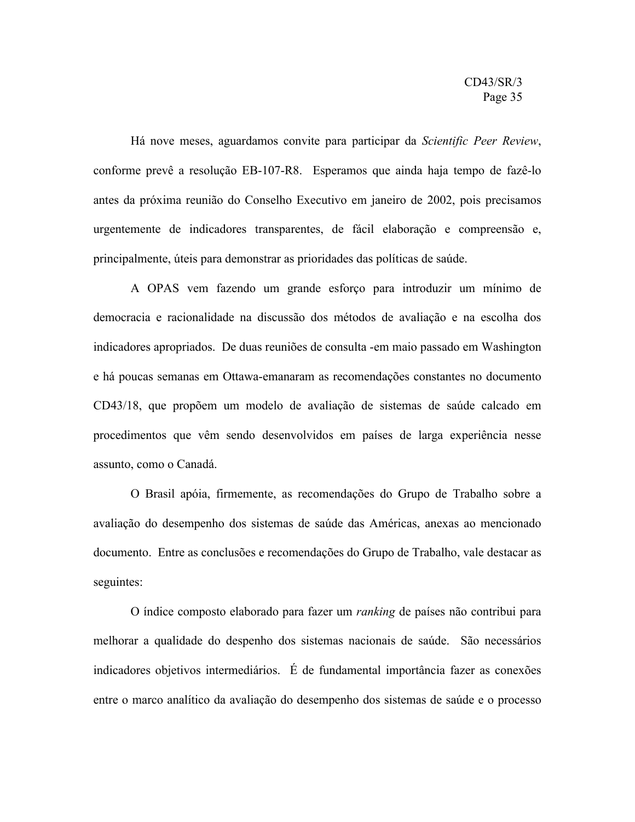Há nove meses, aguardamos convite para participar da *Scientific Peer Review*, conforme prevê a resolução EB-107-R8. Esperamos que ainda haja tempo de fazê-lo antes da próxima reunião do Conselho Executivo em janeiro de 2002, pois precisamos urgentemente de indicadores transparentes, de fácil elaboração e compreensão e, principalmente, úteis para demonstrar as prioridades das políticas de saúde.

A OPAS vem fazendo um grande esforço para introduzir um mínimo de democracia e racionalidade na discussão dos métodos de avaliação e na escolha dos indicadores apropriados. De duas reuniões de consulta -em maio passado em Washington e há poucas semanas em Ottawa-emanaram as recomendações constantes no documento CD43/18, que propõem um modelo de avaliação de sistemas de saúde calcado em procedimentos que vêm sendo desenvolvidos em países de larga experiência nesse assunto, como o Canadá.

O Brasil apóia, firmemente, as recomendações do Grupo de Trabalho sobre a avaliação do desempenho dos sistemas de saúde das Américas, anexas ao mencionado documento. Entre as conclusões e recomendações do Grupo de Trabalho, vale destacar as seguintes:

O índice composto elaborado para fazer um *ranking* de países não contribui para melhorar a qualidade do despenho dos sistemas nacionais de saúde. São necessários indicadores objetivos intermediários. É de fundamental importância fazer as conexões entre o marco analítico da avaliação do desempenho dos sistemas de saúde e o processo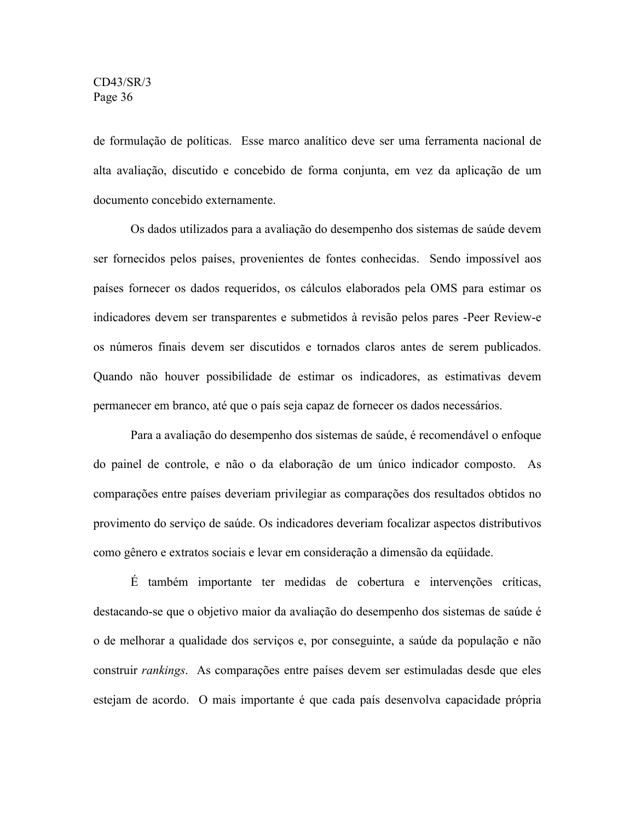de formulação de políticas. Esse marco analítico deve ser uma ferramenta nacional de alta avaliação, discutido e concebido de forma conjunta, em vez da aplicação de um documento concebido externamente.

Os dados utilizados para a avaliação do desempenho dos sistemas de saúde devem ser fornecidos pelos países, provenientes de fontes conhecidas. Sendo impossível aos países fornecer os dados requeridos, os cálculos elaborados pela OMS para estimar os indicadores devem ser transparentes e submetidos à revisão pelos pares -Peer Review-e os números finais devem ser discutidos e tornados claros antes de serem publicados. Quando não houver possibilidade de estimar os indicadores, as estimativas devem permanecer em branco, até que o país seja capaz de fornecer os dados necessários.

Para a avaliação do desempenho dos sistemas de saúde, é recomendável o enfoque do painel de controle, e não o da elaboração de um único indicador composto. As comparações entre países deveriam privilegiar as comparações dos resultados obtidos no provimento do serviço de saúde. Os indicadores deveriam focalizar aspectos distributivos como gênero e extratos sociais e levar em consideração a dimensão da eqüidade.

É também importante ter medidas de cobertura e intervenções críticas, destacando-se que o objetivo maior da avaliação do desempenho dos sistemas de saúde é o de melhorar a qualidade dos serviços e, por conseguinte, a saúde da população e não construir *rankings*. As comparações entre países devem ser estimuladas desde que eles estejam de acordo. O mais importante é que cada país desenvolva capacidade própria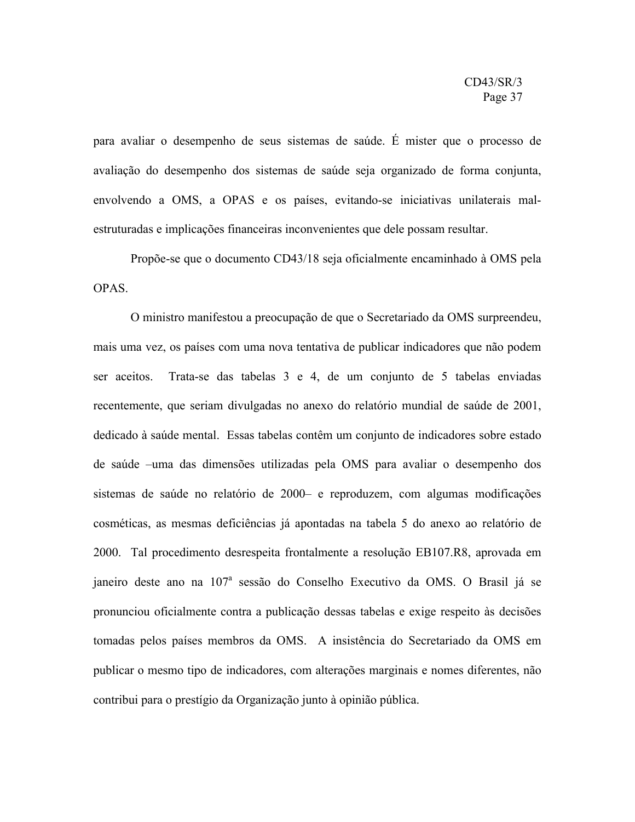para avaliar o desempenho de seus sistemas de saúde. É mister que o processo de avaliação do desempenho dos sistemas de saúde seja organizado de forma conjunta, envolvendo a OMS, a OPAS e os países, evitando-se iniciativas unilaterais malestruturadas e implicações financeiras inconvenientes que dele possam resultar.

Propõe-se que o documento CD43/18 seja oficialmente encaminhado à OMS pela **OPAS**.

O ministro manifestou a preocupação de que o Secretariado da OMS surpreendeu, mais uma vez, os países com uma nova tentativa de publicar indicadores que não podem ser aceitos. Trata-se das tabelas 3 e 4, de um conjunto de 5 tabelas enviadas recentemente, que seriam divulgadas no anexo do relatório mundial de saúde de 2001, dedicado à saúde mental. Essas tabelas contêm um conjunto de indicadores sobre estado de saúde –uma das dimensões utilizadas pela OMS para avaliar o desempenho dos sistemas de saúde no relatório de 2000– e reproduzem, com algumas modificações cosméticas, as mesmas deficiências já apontadas na tabela 5 do anexo ao relatório de 2000. Tal procedimento desrespeita frontalmente a resolução EB107.R8, aprovada em janeiro deste ano na 107<sup>a</sup> sessão do Conselho Executivo da OMS. O Brasil já se pronunciou oficialmente contra a publicação dessas tabelas e exige respeito às decisões tomadas pelos países membros da OMS. A insistência do Secretariado da OMS em publicar o mesmo tipo de indicadores, com alterações marginais e nomes diferentes, não contribui para o prestígio da Organização junto à opinião pública.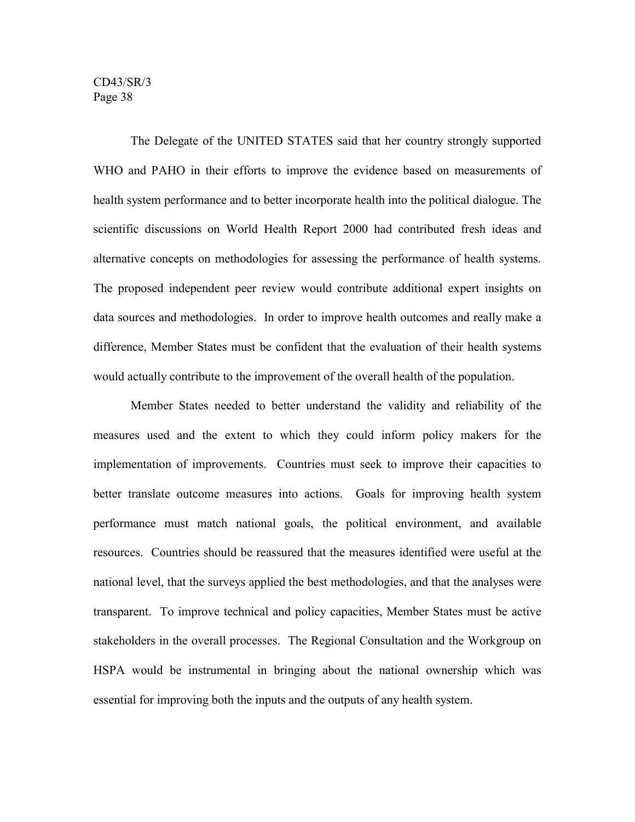The Delegate of the UNITED STATES said that her country strongly supported WHO and PAHO in their efforts to improve the evidence based on measurements of health system performance and to better incorporate health into the political dialogue. The scientific discussions on World Health Report 2000 had contributed fresh ideas and alternative concepts on methodologies for assessing the performance of health systems. The proposed independent peer review would contribute additional expert insights on data sources and methodologies. In order to improve health outcomes and really make a difference, Member States must be confident that the evaluation of their health systems would actually contribute to the improvement of the overall health of the population.

Member States needed to better understand the validity and reliability of the measures used and the extent to which they could inform policy makers for the implementation of improvements. Countries must seek to improve their capacities to better translate outcome measures into actions. Goals for improving health system performance must match national goals, the political environment, and available resources. Countries should be reassured that the measures identified were useful at the national level, that the surveys applied the best methodologies, and that the analyses were transparent. To improve technical and policy capacities, Member States must be active stakeholders in the overall processes. The Regional Consultation and the Workgroup on HSPA would be instrumental in bringing about the national ownership which was essential for improving both the inputs and the outputs of any health system.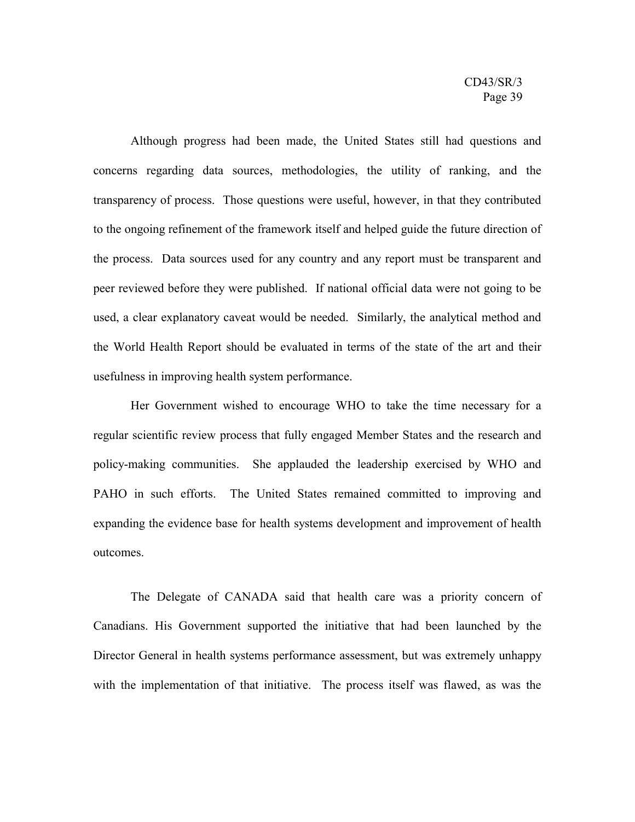Although progress had been made, the United States still had questions and concerns regarding data sources, methodologies, the utility of ranking, and the transparency of process. Those questions were useful, however, in that they contributed to the ongoing refinement of the framework itself and helped guide the future direction of the process. Data sources used for any country and any report must be transparent and peer reviewed before they were published. If national official data were not going to be used, a clear explanatory caveat would be needed. Similarly, the analytical method and the World Health Report should be evaluated in terms of the state of the art and their usefulness in improving health system performance.

Her Government wished to encourage WHO to take the time necessary for a regular scientific review process that fully engaged Member States and the research and policy-making communities. She applauded the leadership exercised by WHO and PAHO in such efforts. The United States remained committed to improving and expanding the evidence base for health systems development and improvement of health outcomes.

The Delegate of CANADA said that health care was a priority concern of Canadians. His Government supported the initiative that had been launched by the Director General in health systems performance assessment, but was extremely unhappy with the implementation of that initiative. The process itself was flawed, as was the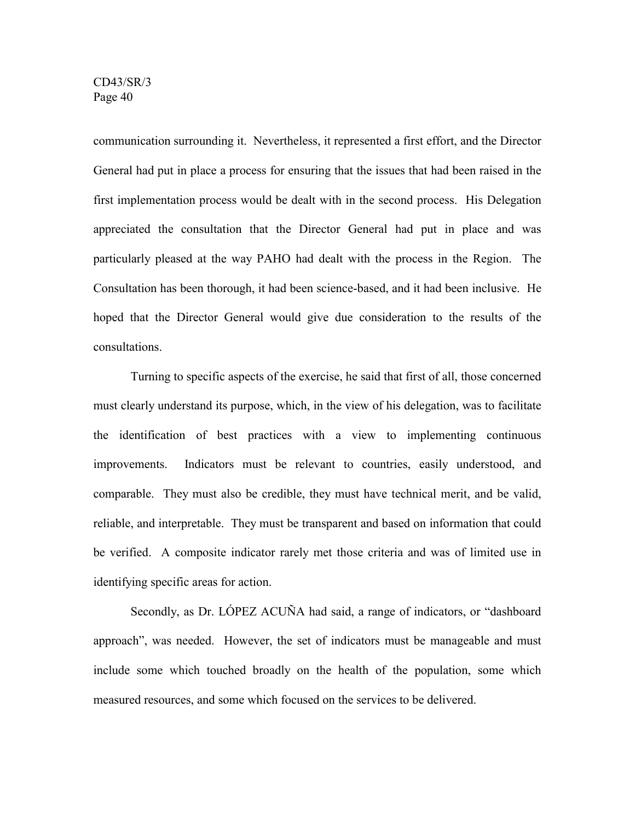communication surrounding it. Nevertheless, it represented a first effort, and the Director General had put in place a process for ensuring that the issues that had been raised in the first implementation process would be dealt with in the second process. His Delegation appreciated the consultation that the Director General had put in place and was particularly pleased at the way PAHO had dealt with the process in the Region. The Consultation has been thorough, it had been science-based, and it had been inclusive. He hoped that the Director General would give due consideration to the results of the consultations.

Turning to specific aspects of the exercise, he said that first of all, those concerned must clearly understand its purpose, which, in the view of his delegation, was to facilitate the identification of best practices with a view to implementing continuous improvements. Indicators must be relevant to countries, easily understood, and comparable. They must also be credible, they must have technical merit, and be valid, reliable, and interpretable. They must be transparent and based on information that could be verified. A composite indicator rarely met those criteria and was of limited use in identifying specific areas for action.

Secondly, as Dr. LÓPEZ ACUÑA had said, a range of indicators, or "dashboard approach", was needed. However, the set of indicators must be manageable and must include some which touched broadly on the health of the population, some which measured resources, and some which focused on the services to be delivered.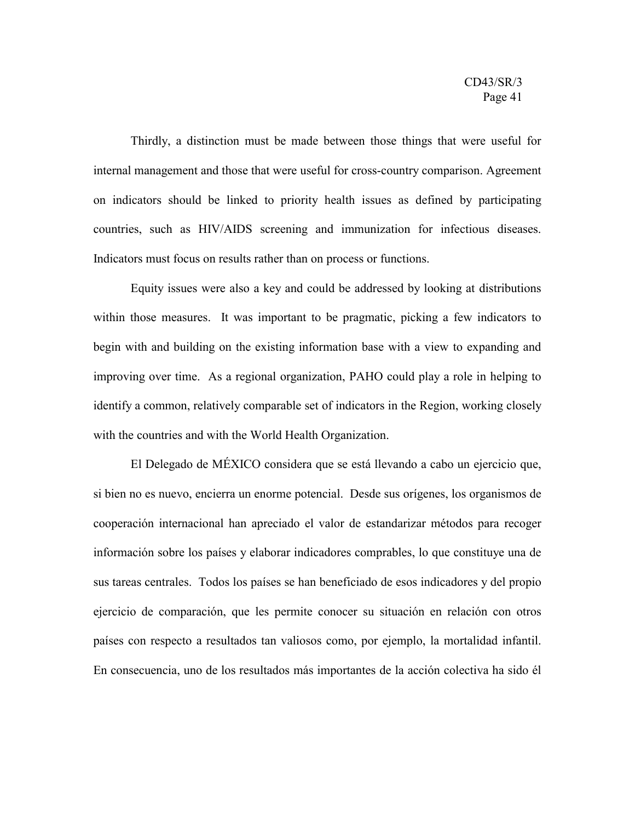Thirdly, a distinction must be made between those things that were useful for internal management and those that were useful for cross-country comparison. Agreement on indicators should be linked to priority health issues as defined by participating countries, such as HIV/AIDS screening and immunization for infectious diseases. Indicators must focus on results rather than on process or functions.

Equity issues were also a key and could be addressed by looking at distributions within those measures. It was important to be pragmatic, picking a few indicators to begin with and building on the existing information base with a view to expanding and improving over time. As a regional organization, PAHO could play a role in helping to identify a common, relatively comparable set of indicators in the Region, working closely with the countries and with the World Health Organization.

El Delegado de MÉXICO considera que se está llevando a cabo un ejercicio que, si bien no es nuevo, encierra un enorme potencial. Desde sus orígenes, los organismos de cooperación internacional han apreciado el valor de estandarizar métodos para recoger información sobre los países y elaborar indicadores comprables, lo que constituye una de sus tareas centrales. Todos los países se han beneficiado de esos indicadores y del propio ejercicio de comparación, que les permite conocer su situación en relación con otros países con respecto a resultados tan valiosos como, por ejemplo, la mortalidad infantil. En consecuencia, uno de los resultados más importantes de la acción colectiva ha sido él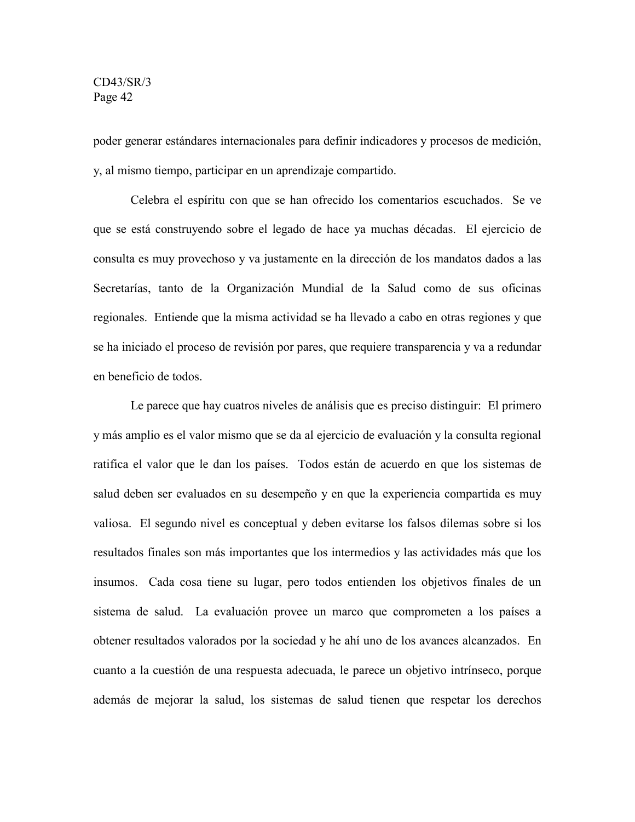poder generar estándares internacionales para definir indicadores y procesos de medición, y, al mismo tiempo, participar en un aprendizaje compartido.

Celebra el espíritu con que se han ofrecido los comentarios escuchados. Se ve que se está construyendo sobre el legado de hace ya muchas décadas. El ejercicio de consulta es muy provechoso y va justamente en la dirección de los mandatos dados a las Secretarías, tanto de la Organización Mundial de la Salud como de sus oficinas regionales. Entiende que la misma actividad se ha llevado a cabo en otras regiones y que se ha iniciado el proceso de revisión por pares, que requiere transparencia y va a redundar en beneficio de todos.

Le parece que hay cuatros niveles de análisis que es preciso distinguir: El primero y más amplio es el valor mismo que se da al ejercicio de evaluación y la consulta regional ratifica el valor que le dan los países. Todos están de acuerdo en que los sistemas de salud deben ser evaluados en su desempeño y en que la experiencia compartida es muy valiosa. El segundo nivel es conceptual y deben evitarse los falsos dilemas sobre si los resultados finales son más importantes que los intermedios y las actividades más que los insumos. Cada cosa tiene su lugar, pero todos entienden los objetivos finales de un sistema de salud. La evaluación provee un marco que comprometen a los países a obtener resultados valorados por la sociedad y he ahí uno de los avances alcanzados. En cuanto a la cuestión de una respuesta adecuada, le parece un objetivo intrínseco, porque además de mejorar la salud, los sistemas de salud tienen que respetar los derechos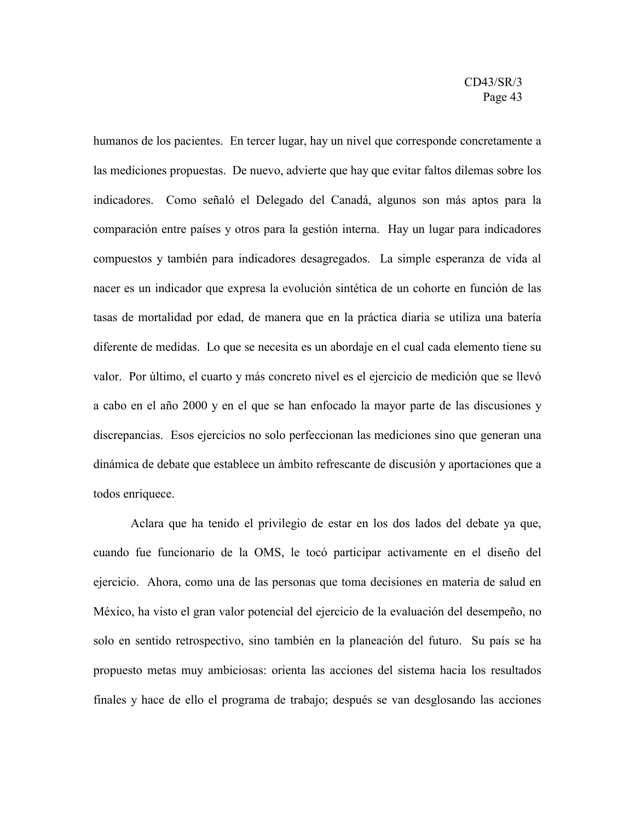humanos de los pacientes. En tercer lugar, hay un nivel que corresponde concretamente a las mediciones propuestas. De nuevo, advierte que hay que evitar faltos dilemas sobre los indicadores. Como señaló el Delegado del Canadá, algunos son más aptos para la comparación entre países y otros para la gestión interna. Hay un lugar para indicadores compuestos y también para indicadores desagregados. La simple esperanza de vida al nacer es un indicador que expresa la evolución sintética de un cohorte en función de las tasas de mortalidad por edad, de manera que en la práctica diaria se utiliza una batería diferente de medidas. Lo que se necesita es un abordaje en el cual cada elemento tiene su valor. Por último, el cuarto y más concreto nivel es el ejercicio de medición que se llevó a cabo en el año 2000 y en el que se han enfocado la mayor parte de las discusiones y discrepancias. Esos ejercicios no solo perfeccionan las mediciones sino que generan una dinámica de debate que establece un ámbito refrescante de discusión y aportaciones que a todos enriquece.

Aclara que ha tenido el privilegio de estar en los dos lados del debate ya que, cuando fue funcionario de la OMS, le tocó participar activamente en el diseño del ejercicio. Ahora, como una de las personas que toma decisiones en materia de salud en México, ha visto el gran valor potencial del ejercicio de la evaluación del desempeño, no solo en sentido retrospectivo, sino también en la planeación del futuro. Su país se ha propuesto metas muy ambiciosas: orienta las acciones del sistema hacia los resultados finales y hace de ello el programa de trabajo; después se van desglosando las acciones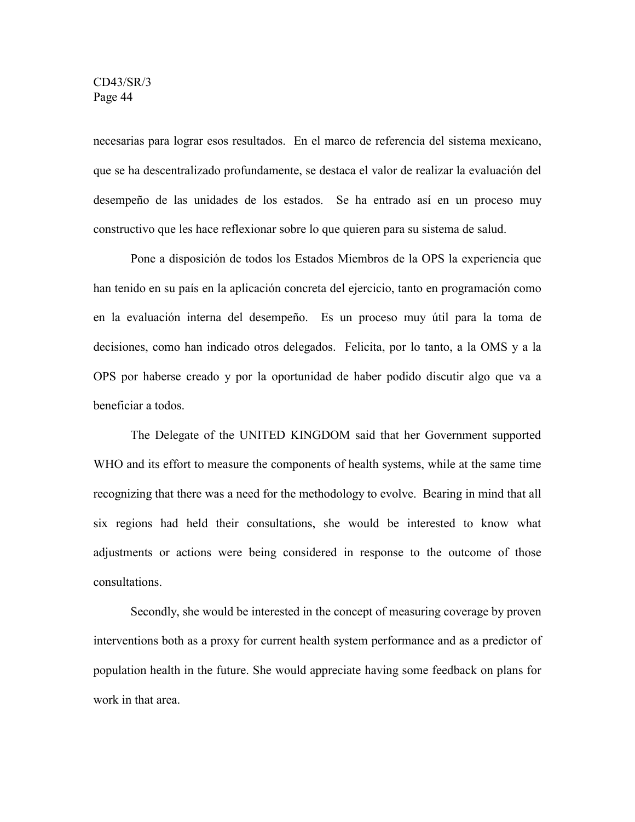necesarias para lograr esos resultados. En el marco de referencia del sistema mexicano, que se ha descentralizado profundamente, se destaca el valor de realizar la evaluación del desempeño de las unidades de los estados. Se ha entrado así en un proceso muy constructivo que les hace reflexionar sobre lo que quieren para su sistema de salud.

Pone a disposición de todos los Estados Miembros de la OPS la experiencia que han tenido en su país en la aplicación concreta del ejercicio, tanto en programación como en la evaluación interna del desempeño. Es un proceso muy útil para la toma de decisiones, como han indicado otros delegados. Felicita, por lo tanto, a la OMS y a la OPS por haberse creado y por la oportunidad de haber podido discutir algo que va a beneficiar a todos.

The Delegate of the UNITED KINGDOM said that her Government supported WHO and its effort to measure the components of health systems, while at the same time recognizing that there was a need for the methodology to evolve. Bearing in mind that all six regions had held their consultations, she would be interested to know what adjustments or actions were being considered in response to the outcome of those consultations.

Secondly, she would be interested in the concept of measuring coverage by proven interventions both as a proxy for current health system performance and as a predictor of population health in the future. She would appreciate having some feedback on plans for work in that area.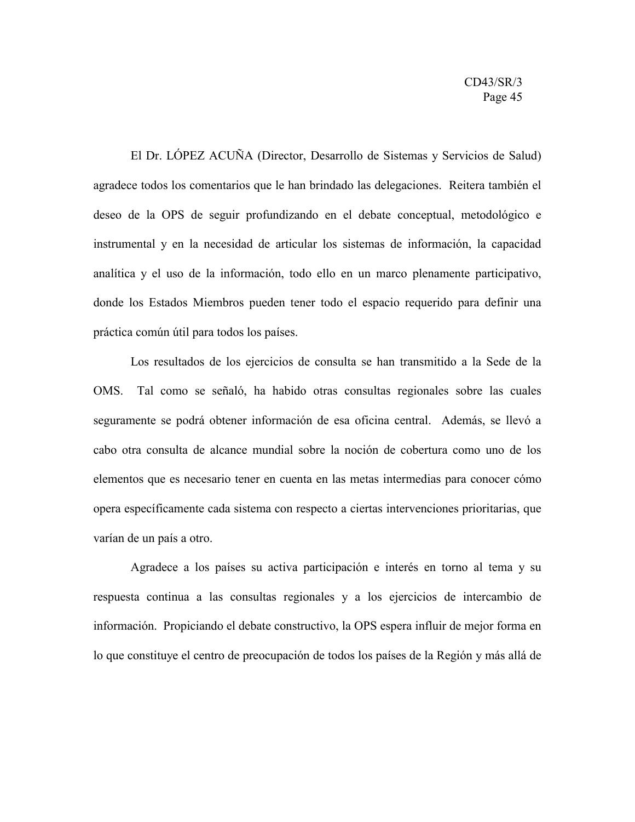El Dr. LÓPEZ ACUÑA (Director, Desarrollo de Sistemas y Servicios de Salud) agradece todos los comentarios que le han brindado las delegaciones. Reitera también el deseo de la OPS de seguir profundizando en el debate conceptual, metodológico e instrumental y en la necesidad de articular los sistemas de información, la capacidad analítica y el uso de la información, todo ello en un marco plenamente participativo, donde los Estados Miembros pueden tener todo el espacio requerido para definir una práctica común útil para todos los países.

Los resultados de los ejercicios de consulta se han transmitido a la Sede de la OMS. Tal como se señaló, ha habido otras consultas regionales sobre las cuales seguramente se podrá obtener información de esa oficina central. Además, se llevó a cabo otra consulta de alcance mundial sobre la noción de cobertura como uno de los elementos que es necesario tener en cuenta en las metas intermedias para conocer cómo opera específicamente cada sistema con respecto a ciertas intervenciones prioritarias, que varían de un país a otro.

Agradece a los países su activa participación e interés en torno al tema y su respuesta continua a las consultas regionales y a los ejercicios de intercambio de información. Propiciando el debate constructivo, la OPS espera influir de mejor forma en lo que constituye el centro de preocupación de todos los países de la Región y más allá de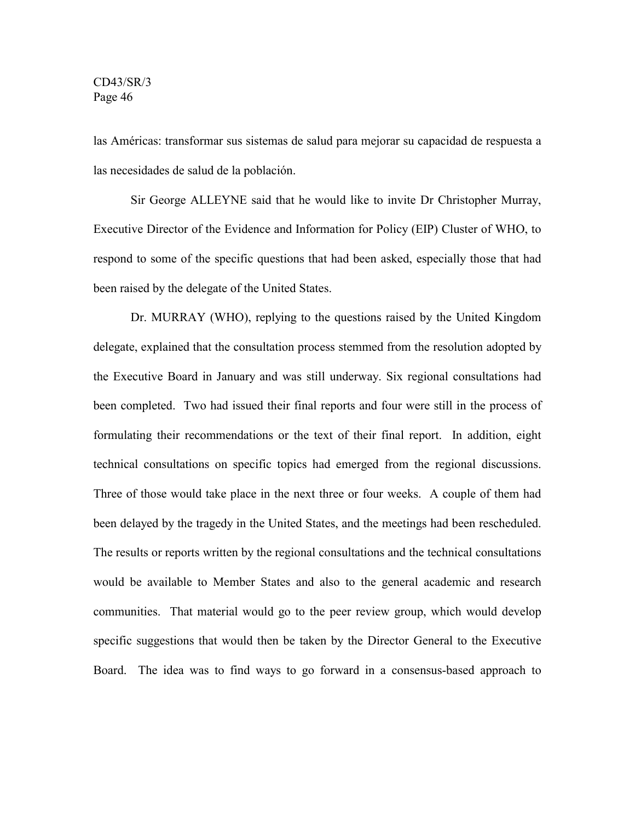las Américas: transformar sus sistemas de salud para mejorar su capacidad de respuesta a las necesidades de salud de la población.

Sir George ALLEYNE said that he would like to invite Dr Christopher Murray, Executive Director of the Evidence and Information for Policy (EIP) Cluster of WHO, to respond to some of the specific questions that had been asked, especially those that had been raised by the delegate of the United States.

Dr. MURRAY (WHO), replying to the questions raised by the United Kingdom delegate, explained that the consultation process stemmed from the resolution adopted by the Executive Board in January and was still underway. Six regional consultations had been completed. Two had issued their final reports and four were still in the process of formulating their recommendations or the text of their final report. In addition, eight technical consultations on specific topics had emerged from the regional discussions. Three of those would take place in the next three or four weeks. A couple of them had been delayed by the tragedy in the United States, and the meetings had been rescheduled. The results or reports written by the regional consultations and the technical consultations would be available to Member States and also to the general academic and research communities. That material would go to the peer review group, which would develop specific suggestions that would then be taken by the Director General to the Executive Board. The idea was to find ways to go forward in a consensus-based approach to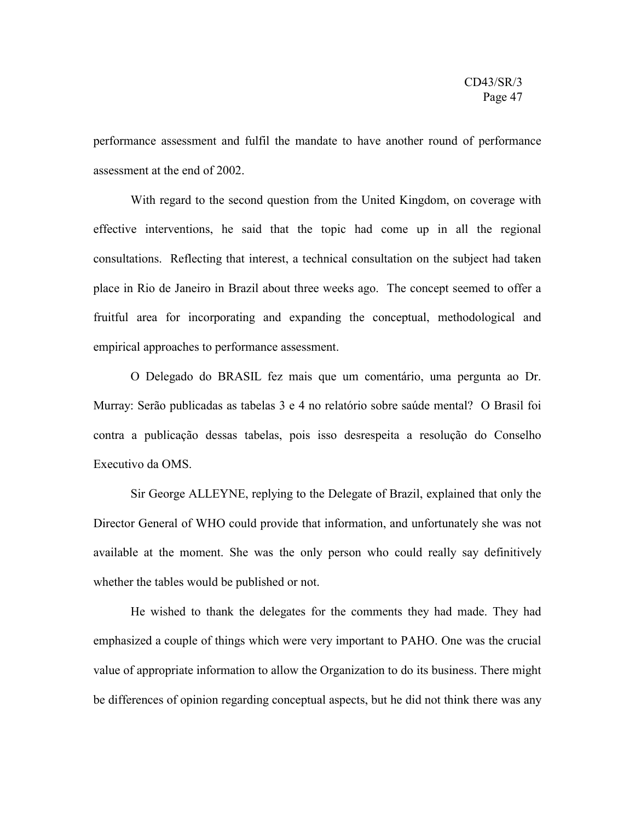performance assessment and fulfil the mandate to have another round of performance assessment at the end of 2002.

With regard to the second question from the United Kingdom, on coverage with effective interventions, he said that the topic had come up in all the regional consultations. Reflecting that interest, a technical consultation on the subject had taken place in Rio de Janeiro in Brazil about three weeks ago. The concept seemed to offer a fruitful area for incorporating and expanding the conceptual, methodological and empirical approaches to performance assessment.

O Delegado do BRASIL fez mais que um comentário, uma pergunta ao Dr. Murray: Serão publicadas as tabelas 3 e 4 no relatório sobre saúde mental? O Brasil foi contra a publicação dessas tabelas, pois isso desrespeita a resolução do Conselho Executivo da OMS.

Sir George ALLEYNE, replying to the Delegate of Brazil, explained that only the Director General of WHO could provide that information, and unfortunately she was not available at the moment. She was the only person who could really say definitively whether the tables would be published or not.

He wished to thank the delegates for the comments they had made. They had emphasized a couple of things which were very important to PAHO. One was the crucial value of appropriate information to allow the Organization to do its business. There might be differences of opinion regarding conceptual aspects, but he did not think there was any